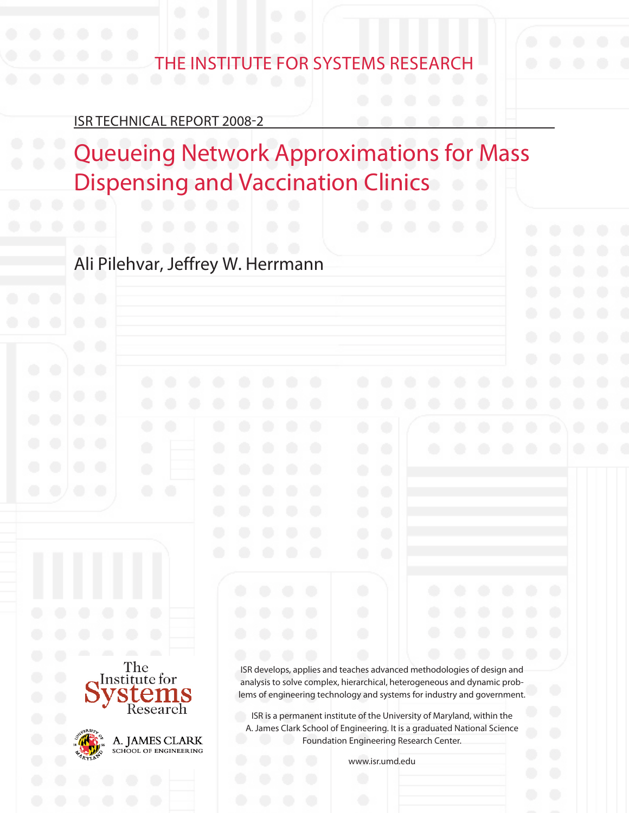# The Institute for Systems Research

# ISR Technical Report 2008-2

The Institute for

Research

A. JAMES CLARK SCHOOL OF ENGINEERING

Ł

# **Queueing Network Approximations for Mass Dispensing and Vaccination Clinics**

Ali Pilehvar, Jeffrey W. Herrmann

ISR develops, applies and teaches advanced methodologies of design and analysis to solve complex, hierarchical, heterogeneous and dynamic problems of engineering technology and systems for industry and government.

ISR is a permanent institute of the University of Maryland, within the A. James Clark School of Engineering. It is a graduated National Science Foundation Engineering Research Center.

www.isr.umd.edu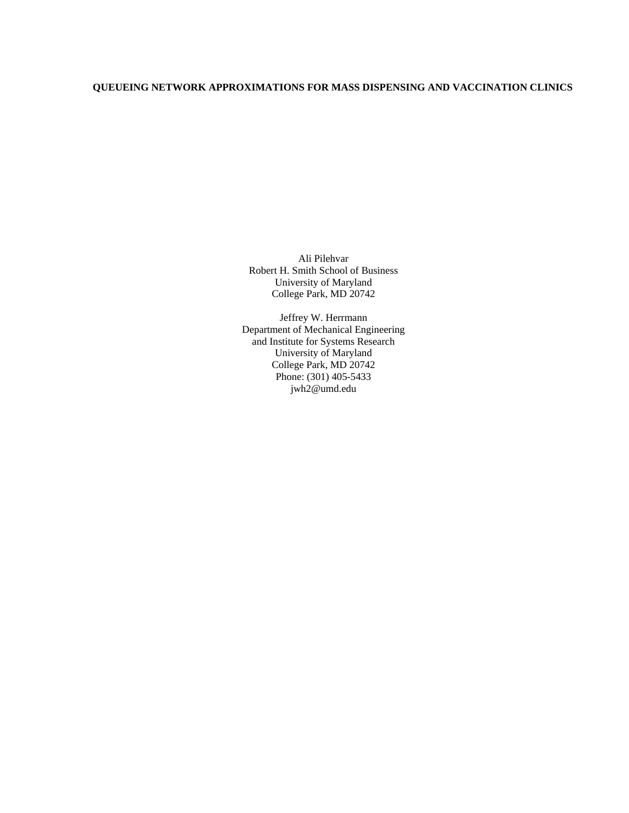# **QUEUEING NETWORK APPROXIMATIONS FOR MASS DISPENSING AND VACCINATION CLINICS**

Ali Pilehvar Robert H. Smith School of Business University of Maryland College Park, MD 20742

Jeffrey W. Herrmann Department of Mechanical Engineering and Institute for Systems Research University of Maryland College Park, MD 20742 Phone: (301) 405-5433 jwh2@umd.edu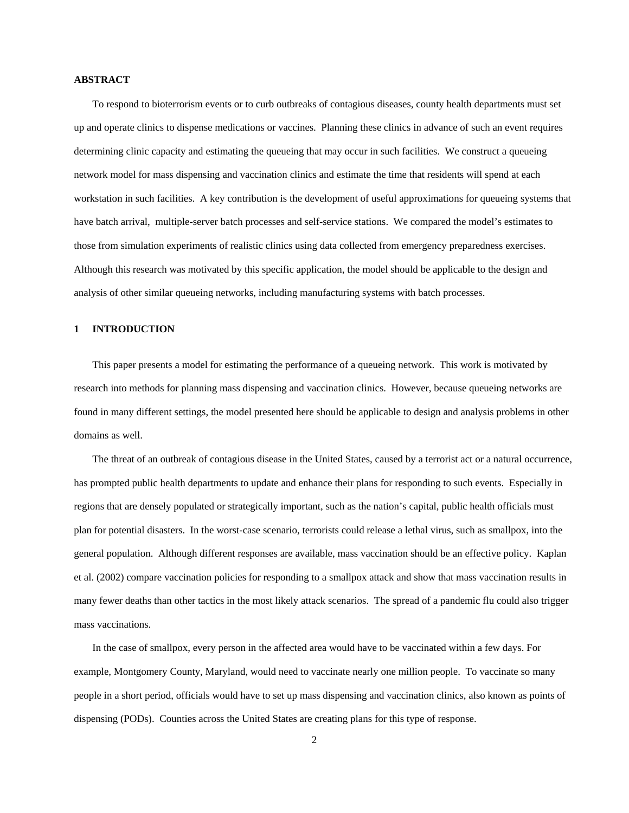#### **ABSTRACT**

To respond to bioterrorism events or to curb outbreaks of contagious diseases, county health departments must set up and operate clinics to dispense medications or vaccines. Planning these clinics in advance of such an event requires determining clinic capacity and estimating the queueing that may occur in such facilities. We construct a queueing network model for mass dispensing and vaccination clinics and estimate the time that residents will spend at each workstation in such facilities. A key contribution is the development of useful approximations for queueing systems that have batch arrival, multiple-server batch processes and self-service stations. We compared the model's estimates to those from simulation experiments of realistic clinics using data collected from emergency preparedness exercises. Although this research was motivated by this specific application, the model should be applicable to the design and analysis of other similar queueing networks, including manufacturing systems with batch processes.

#### **1 INTRODUCTION**

This paper presents a model for estimating the performance of a queueing network. This work is motivated by research into methods for planning mass dispensing and vaccination clinics. However, because queueing networks are found in many different settings, the model presented here should be applicable to design and analysis problems in other domains as well.

The threat of an outbreak of contagious disease in the United States, caused by a terrorist act or a natural occurrence, has prompted public health departments to update and enhance their plans for responding to such events. Especially in regions that are densely populated or strategically important, such as the nation's capital, public health officials must plan for potential disasters. In the worst-case scenario, terrorists could release a lethal virus, such as smallpox, into the general population. Although different responses are available, mass vaccination should be an effective policy. Kaplan et al. (2002) compare vaccination policies for responding to a smallpox attack and show that mass vaccination results in many fewer deaths than other tactics in the most likely attack scenarios. The spread of a pandemic flu could also trigger mass vaccinations.

In the case of smallpox, every person in the affected area would have to be vaccinated within a few days. For example, Montgomery County, Maryland, would need to vaccinate nearly one million people. To vaccinate so many people in a short period, officials would have to set up mass dispensing and vaccination clinics, also known as points of dispensing (PODs). Counties across the United States are creating plans for this type of response.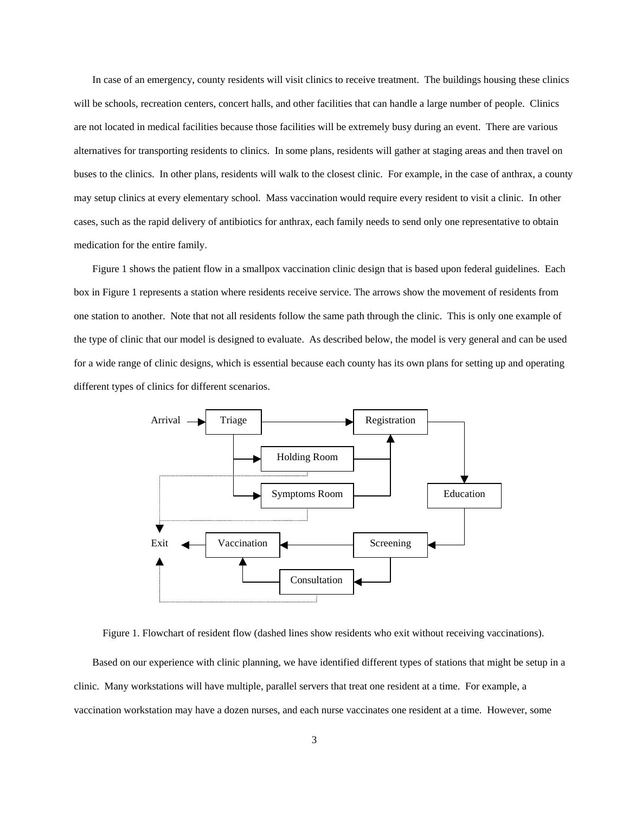In case of an emergency, county residents will visit clinics to receive treatment. The buildings housing these clinics will be schools, recreation centers, concert halls, and other facilities that can handle a large number of people. Clinics are not located in medical facilities because those facilities will be extremely busy during an event. There are various alternatives for transporting residents to clinics. In some plans, residents will gather at staging areas and then travel on buses to the clinics. In other plans, residents will walk to the closest clinic. For example, in the case of anthrax, a county may setup clinics at every elementary school. Mass vaccination would require every resident to visit a clinic. In other cases, such as the rapid delivery of antibiotics for anthrax, each family needs to send only one representative to obtain medication for the entire family.

Figure 1 shows the patient flow in a smallpox vaccination clinic design that is based upon federal guidelines. Each box in Figure 1 represents a station where residents receive service. The arrows show the movement of residents from one station to another. Note that not all residents follow the same path through the clinic. This is only one example of the type of clinic that our model is designed to evaluate. As described below, the model is very general and can be used for a wide range of clinic designs, which is essential because each county has its own plans for setting up and operating different types of clinics for different scenarios.



Figure 1. Flowchart of resident flow (dashed lines show residents who exit without receiving vaccinations).

Based on our experience with clinic planning, we have identified different types of stations that might be setup in a clinic. Many workstations will have multiple, parallel servers that treat one resident at a time. For example, a vaccination workstation may have a dozen nurses, and each nurse vaccinates one resident at a time. However, some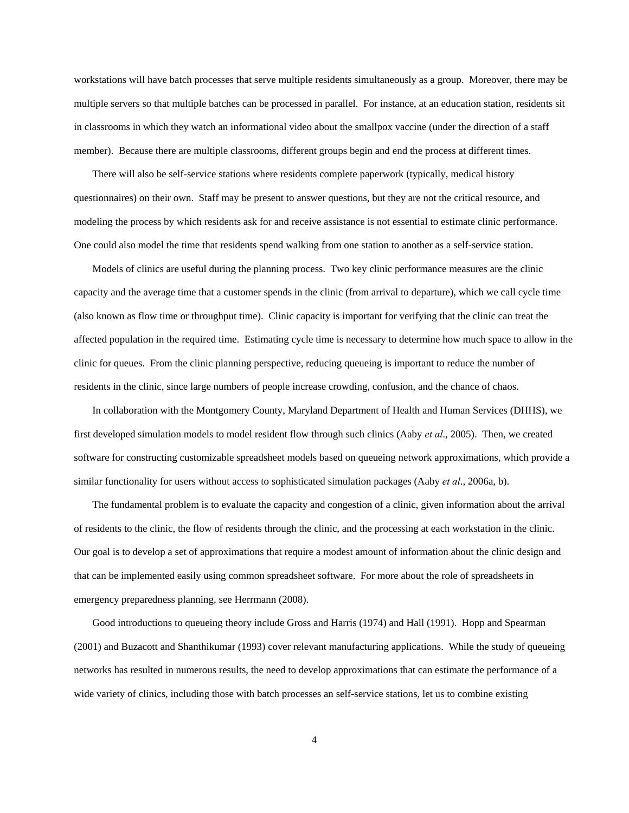workstations will have batch processes that serve multiple residents simultaneously as a group. Moreover, there may be multiple servers so that multiple batches can be processed in parallel. For instance, at an education station, residents sit in classrooms in which they watch an informational video about the smallpox vaccine (under the direction of a staff member). Because there are multiple classrooms, different groups begin and end the process at different times.

There will also be self-service stations where residents complete paperwork (typically, medical history questionnaires) on their own. Staff may be present to answer questions, but they are not the critical resource, and modeling the process by which residents ask for and receive assistance is not essential to estimate clinic performance. One could also model the time that residents spend walking from one station to another as a self-service station.

Models of clinics are useful during the planning process. Two key clinic performance measures are the clinic capacity and the average time that a customer spends in the clinic (from arrival to departure), which we call cycle time (also known as flow time or throughput time). Clinic capacity is important for verifying that the clinic can treat the affected population in the required time. Estimating cycle time is necessary to determine how much space to allow in the clinic for queues. From the clinic planning perspective, reducing queueing is important to reduce the number of residents in the clinic, since large numbers of people increase crowding, confusion, and the chance of chaos.

In collaboration with the Montgomery County, Maryland Department of Health and Human Services (DHHS), we first developed simulation models to model resident flow through such clinics (Aaby *et al*., 2005). Then, we created software for constructing customizable spreadsheet models based on queueing network approximations, which provide a similar functionality for users without access to sophisticated simulation packages (Aaby *et al*., 2006a, b).

The fundamental problem is to evaluate the capacity and congestion of a clinic, given information about the arrival of residents to the clinic, the flow of residents through the clinic, and the processing at each workstation in the clinic. Our goal is to develop a set of approximations that require a modest amount of information about the clinic design and that can be implemented easily using common spreadsheet software. For more about the role of spreadsheets in emergency preparedness planning, see Herrmann (2008).

Good introductions to queueing theory include Gross and Harris (1974) and Hall (1991). Hopp and Spearman (2001) and Buzacott and Shanthikumar (1993) cover relevant manufacturing applications. While the study of queueing networks has resulted in numerous results, the need to develop approximations that can estimate the performance of a wide variety of clinics, including those with batch processes an self-service stations, let us to combine existing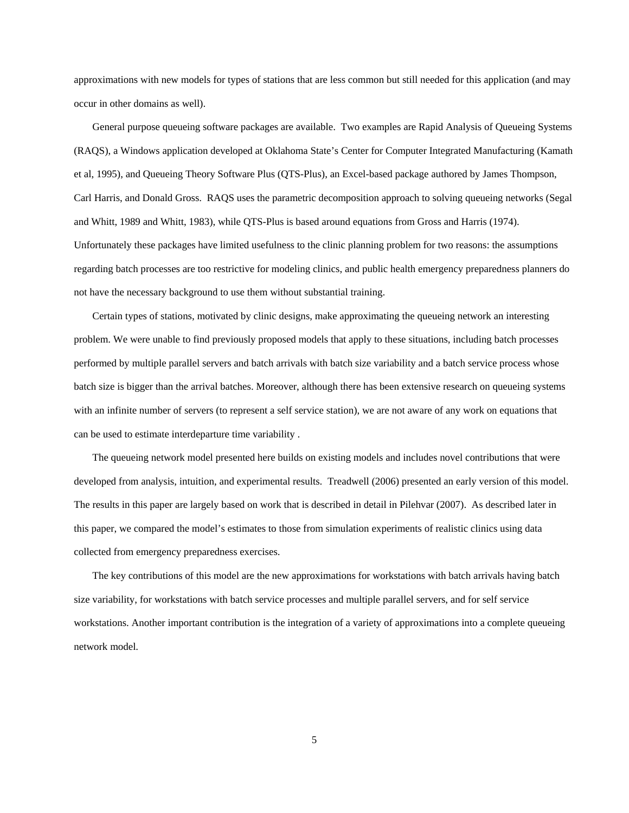approximations with new models for types of stations that are less common but still needed for this application (and may occur in other domains as well).

General purpose queueing software packages are available. Two examples are Rapid Analysis of Queueing Systems (RAQS), a Windows application developed at Oklahoma State's Center for Computer Integrated Manufacturing (Kamath et al, 1995), and Queueing Theory Software Plus (QTS-Plus), an Excel-based package authored by James Thompson, Carl Harris, and Donald Gross. RAQS uses the parametric decomposition approach to solving queueing networks (Segal and Whitt, 1989 and Whitt, 1983), while QTS-Plus is based around equations from Gross and Harris (1974). Unfortunately these packages have limited usefulness to the clinic planning problem for two reasons: the assumptions regarding batch processes are too restrictive for modeling clinics, and public health emergency preparedness planners do not have the necessary background to use them without substantial training.

Certain types of stations, motivated by clinic designs, make approximating the queueing network an interesting problem. We were unable to find previously proposed models that apply to these situations, including batch processes performed by multiple parallel servers and batch arrivals with batch size variability and a batch service process whose batch size is bigger than the arrival batches. Moreover, although there has been extensive research on queueing systems with an infinite number of servers (to represent a self service station), we are not aware of any work on equations that can be used to estimate interdeparture time variability .

The queueing network model presented here builds on existing models and includes novel contributions that were developed from analysis, intuition, and experimental results. Treadwell (2006) presented an early version of this model. The results in this paper are largely based on work that is described in detail in Pilehvar (2007). As described later in this paper, we compared the model's estimates to those from simulation experiments of realistic clinics using data collected from emergency preparedness exercises.

The key contributions of this model are the new approximations for workstations with batch arrivals having batch size variability, for workstations with batch service processes and multiple parallel servers, and for self service workstations. Another important contribution is the integration of a variety of approximations into a complete queueing network model.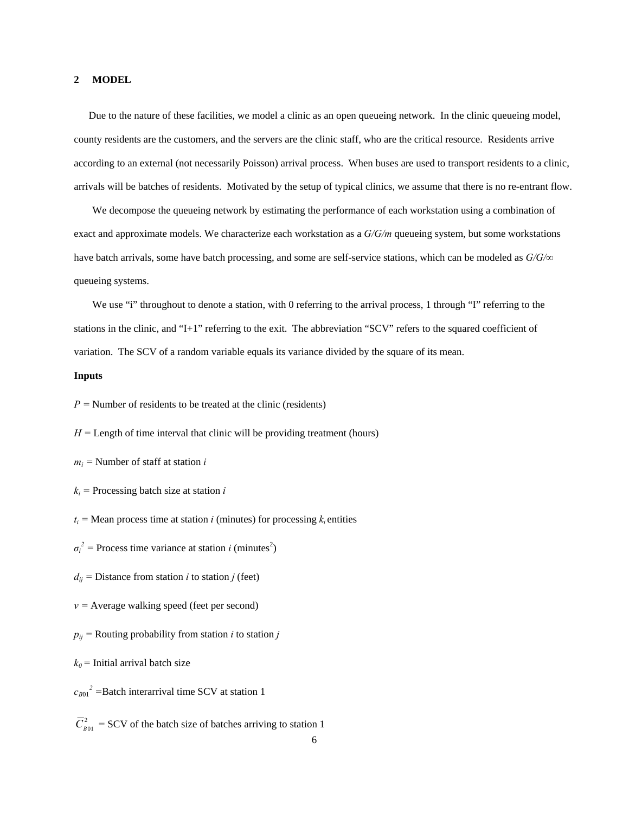#### **2 MODEL**

Due to the nature of these facilities, we model a clinic as an open queueing network. In the clinic queueing model, county residents are the customers, and the servers are the clinic staff, who are the critical resource. Residents arrive according to an external (not necessarily Poisson) arrival process. When buses are used to transport residents to a clinic, arrivals will be batches of residents. Motivated by the setup of typical clinics, we assume that there is no re-entrant flow.

We decompose the queueing network by estimating the performance of each workstation using a combination of exact and approximate models. We characterize each workstation as a *G/G/m* queueing system, but some workstations have batch arrivals, some have batch processing, and some are self-service stations, which can be modeled as *G/G/∞* queueing systems.

We use "i" throughout to denote a station, with 0 referring to the arrival process, 1 through "I" referring to the stations in the clinic, and "I+1" referring to the exit. The abbreviation "SCV" refers to the squared coefficient of variation. The SCV of a random variable equals its variance divided by the square of its mean.

#### **Inputs**

 $P =$  Number of residents to be treated at the clinic (residents)

 $H =$  Length of time interval that clinic will be providing treatment (hours)

 $m_i$  = Number of staff at station *i* 

 $k_i$  = Processing batch size at station *i* 

 $t_i$  = Mean process time at station *i* (minutes) for processing  $k_i$  entities

 $\sigma_i^2$  = Process time variance at station *i* (minutes<sup>2</sup>)

 $d_{ij}$  = Distance from station *i* to station *j* (feet)

 $v =$  Average walking speed (feet per second)

 $p_{ij}$  = Routing probability from station *i* to station *j* 

 $k_0$  = Initial arrival batch size

 $c_{B01}^2$  =Batch interarrival time SCV at station 1

 $\overline{C}_{\text{rot}}^2$  = SCV of the batch size of batches arriving to station 1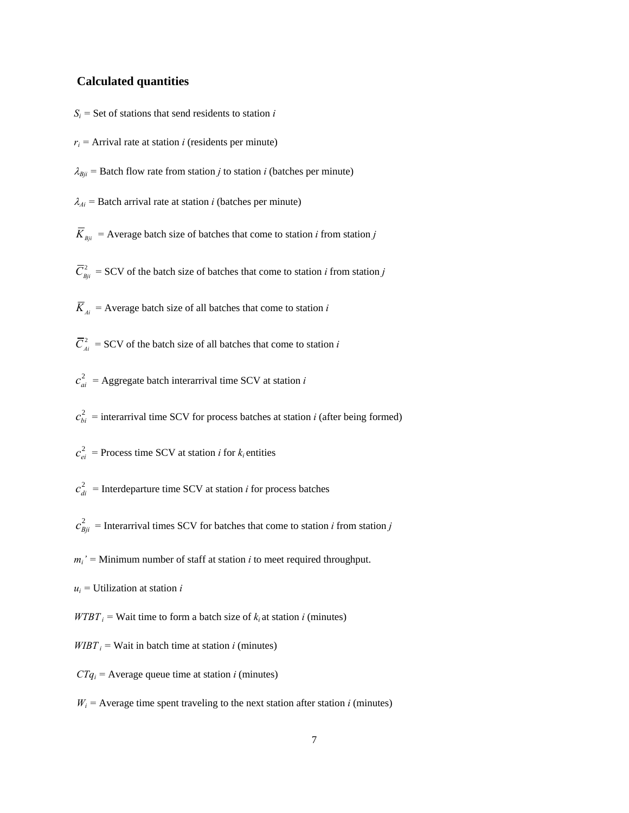#### **Calculated quantities**

- $S_i$  = Set of stations that send residents to station *i*
- $r_i$  = Arrival rate at station *i* (residents per minute)
- $\lambda_{Bji}$  = Batch flow rate from station *j* to station *i* (batches per minute)
- $\lambda_{Ai}$  = Batch arrival rate at station *i* (batches per minute)
- $\overline{K}_{\text{Bij}}$  = Average batch size of batches that come to station *i* from station *j*
- $\overline{C}_{Bii}^2$  = SCV of the batch size of batches that come to station *i* from station *j*
- $\overline{K}_{Ai}$  = Average batch size of all batches that come to station *i*
- $\overline{C}_{Ai}^2$  = SCV of the batch size of all batches that come to station *i*
- $c_{ai}^2$  = Aggregate batch interarrival time SCV at station *i*
- $c_{bi}^2$  = interarrival time SCV for process batches at station *i* (after being formed)
- $c_{ei}^2$  = Process time SCV at station *i* for  $k_i$  entities
- $c_{di}^2$  = Interdeparture time SCV at station *i* for process batches
- $c_{Bji}^2$  = Interarrival times SCV for batches that come to station *i* from station *j*
- $m_i'$  = Minimum number of staff at station *i* to meet required throughput.
- *ui =* Utilization at station *i*
- *WTBT*  $i$  = Wait time to form a batch size of  $k_i$  at station *i* (minutes)
- *WIBT*  $i$  = Wait in batch time at station *i* (minutes)
- $CTq_i$  = Average queue time at station *i* (minutes)
- $W_i$  = Average time spent traveling to the next station after station *i* (minutes)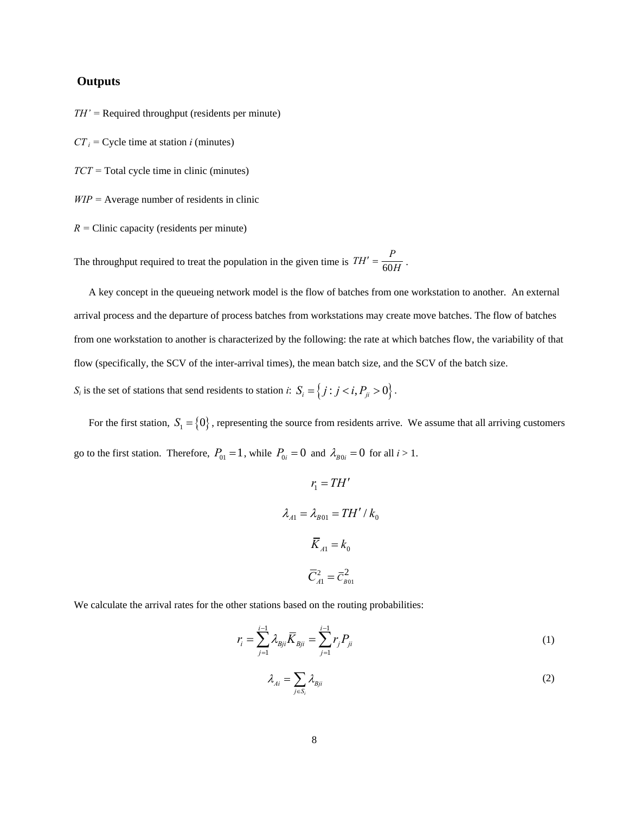# **Outputs**

*TH' =* Required throughput (residents per minute)

- $CT_i$  = Cycle time at station *i* (minutes)
- *TCT =* Total cycle time in clinic (minutes)

*WIP =* Average number of residents in clinic

 $R =$  Clinic capacity (residents per minute)

The throughput required to treat the population in the given time is  $TH' = \frac{P}{60H}$ .

A key concept in the queueing network model is the flow of batches from one workstation to another. An external arrival process and the departure of process batches from workstations may create move batches. The flow of batches from one workstation to another is characterized by the following: the rate at which batches flow, the variability of that flow (specifically, the SCV of the inter-arrival times), the mean batch size, and the SCV of the batch size.

*S<sub>i</sub>* is the set of stations that send residents to station *i*:  $S_i = \{j : j < i, P_{ji} > 0\}$ .

For the first station,  $S_1 = \{0\}$ , representing the source from residents arrive. We assume that all arriving customers go to the first station. Therefore,  $P_{01} = 1$ , while  $P_{0i} = 0$  and  $\lambda_{B0i} = 0$  for all  $i > 1$ .

$$
r_1 = TH'
$$
  

$$
\lambda_{A1} = \lambda_{B01} = TH'/k_0
$$
  

$$
\overline{K}_{A1} = k_0
$$
  

$$
\overline{C}_{A1}^2 = \overline{C}_{B01}^2
$$

We calculate the arrival rates for the other stations based on the routing probabilities:

$$
r_i = \sum_{j=1}^{i-1} \lambda_{Bji} \overline{K}_{Bji} = \sum_{j=1}^{i-1} r_j P_{ji}
$$
 (1)

$$
\lambda_{Ai} = \sum_{j \in S_i} \lambda_{Bji} \tag{2}
$$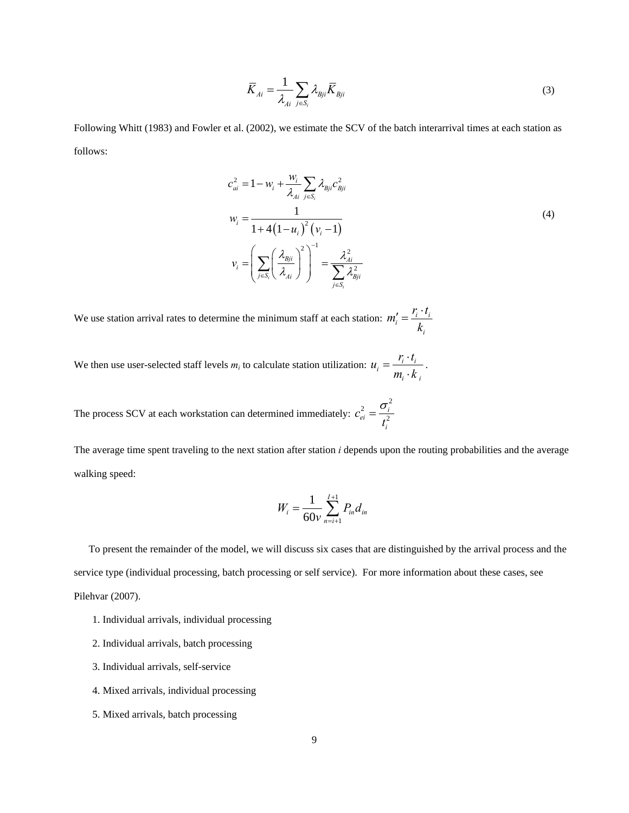$$
\overline{K}_{Ai} = \frac{1}{\lambda_{Ai}} \sum_{j \in S_i} \lambda_{Bji} \overline{K}_{Bji}
$$
\n(3)

Following Whitt (1983) and Fowler et al. (2002), we estimate the SCV of the batch interarrival times at each station as follows:

$$
c_{ai}^{2} = 1 - w_{i} + \frac{w_{i}}{\lambda_{Ai}} \sum_{j \in S_{i}} \lambda_{Bji} c_{Bji}^{2}
$$
  

$$
w_{i} = \frac{1}{1 + 4(1 - u_{i})^{2} (v_{i} - 1)}
$$
  

$$
v_{i} = \left(\sum_{j \in S_{i}} \left(\frac{\lambda_{Bji}}{\lambda_{Ai}}\right)^{2}\right)^{-1} = \frac{\lambda_{Ai}^{2}}{\sum_{j \in S_{i}} \lambda_{Bji}^{2}}
$$
  
(4)

We use station arrival rates to determine the minimum staff at each station:  $m'_i = \frac{r_i - r_i}{l}$ *i*  $m'_i = \frac{r_i \cdot t}{r_i}$ *k*  $\frac{r_i}{i} = \frac{r_i}{i}$ 

We then use user-selected staff levels  $m_i$  to calculate station utilization:  $u_i = \frac{r_i - r_i}{m_i - 1}$ *i i*  $u_i = \frac{r_i \cdot t}{\cdot}$  $=\frac{r_i \cdot t_i}{m_i \cdot k_i}$ .

The process SCV at each workstation can determined immediately:  $\sigma_i^2$ 2  $\frac{2}{ei} = \frac{U_i}{2}$ *i c t*  $=\frac{\sigma}{\sigma}$ 

The average time spent traveling to the next station after station *i* depends upon the routing probabilities and the average walking speed:

$$
W_i = \frac{1}{60v} \sum_{n=i+1}^{I+1} P_{in} d_{in}
$$

To present the remainder of the model, we will discuss six cases that are distinguished by the arrival process and the service type (individual processing, batch processing or self service). For more information about these cases, see Pilehvar (2007).

- 1. Individual arrivals, individual processing
- 2. Individual arrivals, batch processing
- 3. Individual arrivals, self-service
- 4. Mixed arrivals, individual processing
- 5. Mixed arrivals, batch processing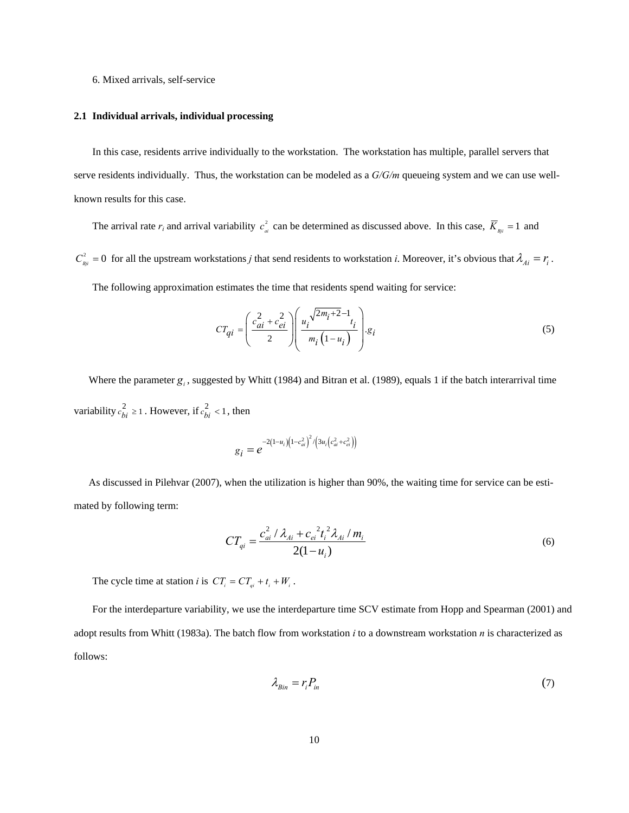#### 6. Mixed arrivals, self-service

#### **2.1 Individual arrivals, individual processing**

In this case, residents arrive individually to the workstation. The workstation has multiple, parallel servers that serve residents individually. Thus, the workstation can be modeled as a *G/G/m* queueing system and we can use wellknown results for this case.

The arrival rate  $r_i$  and arrival variability  $c_{ai}^2$  can be determined as discussed above. In this case,  $\overline{K}_{Bji} = 1$  and

 $C_{Bji}^2 = 0$  for all the upstream workstations *j* that send residents to workstation *i*. Moreover, it's obvious that  $\lambda_{Ai} = r_i$ . The following approximation estimates the time that residents spend waiting for service:

$$
CT_{qi} = \left(\frac{c_{ai}^2 + c_{ei}^2}{2}\right) \left(\frac{u_i^{\sqrt{2m_i + 2} - 1}t_i}{m_i\left(1 - u_i\right)}\right).g_i
$$
\n
$$
(5)
$$

Where the parameter  $g_i$ , suggested by Whitt (1984) and Bitran et al. (1989), equals 1 if the batch interarrival time variability  $c_{bi}^2 \ge 1$ . However, if  $c_{bi}^2 < 1$ , then

$$
g_i = e^{-2(1-u_i)(1-c_{ai}^2)^2/(3u_i(c_{ai}^2+c_{ei}^2))}
$$

As discussed in Pilehvar (2007), when the utilization is higher than 90%, the waiting time for service can be estimated by following term:

$$
CT_{qi} = \frac{c_{ai}^2 / \lambda_{Ai} + c_{ei}^2 t_i^2 \lambda_{Ai} / m_i}{2(1 - u_i)}
$$
(6)

The cycle time at station *i* is  $CT_i = CT_{qi} + t_i + W_i$ .

For the interdeparture variability, we use the interdeparture time SCV estimate from Hopp and Spearman (2001) and adopt results from Whitt (1983a). The batch flow from workstation *i* to a downstream workstation *n* is characterized as follows:

$$
\lambda_{\text{Bin}} = r_i P_{\text{in}} \tag{7}
$$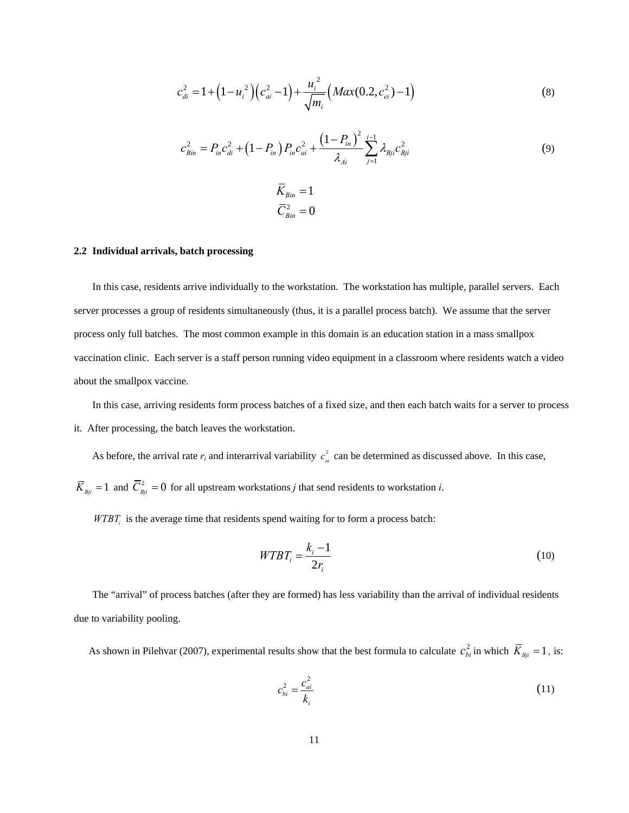$$
c_{di}^{2} = 1 + \left(1 - u_{i}^{2}\right)\left(c_{ai}^{2} - 1\right) + \frac{u_{i}^{2}}{\sqrt{m_{i}}}\left(Max(0.2, c_{ei}^{2}) - 1\right)
$$
\n(8)

$$
c_{Bin}^2 = P_{in}c_{di}^2 + (1 - P_{in})P_{in}c_{ai}^2 + \frac{(1 - P_{in})^2}{\lambda_{Ai}} \sum_{j=1}^{i-1} \lambda_{Bji}c_{Bji}^2
$$
  
\n
$$
\overline{K}_{Bin} = 1
$$
  
\n
$$
\overline{C}_{Bin}^2 = 0
$$
\n(9)

#### **2.2 Individual arrivals, batch processing**

In this case, residents arrive individually to the workstation. The workstation has multiple, parallel servers. Each server processes a group of residents simultaneously (thus, it is a parallel process batch). We assume that the server process only full batches. The most common example in this domain is an education station in a mass smallpox vaccination clinic. Each server is a staff person running video equipment in a classroom where residents watch a video about the smallpox vaccine.

In this case, arriving residents form process batches of a fixed size, and then each batch waits for a server to process it. After processing, the batch leaves the workstation.

As before, the arrival rate  $r_i$  and interarrival variability  $c_{ai}^2$  can be determined as discussed above. In this case,

 $\overline{K}_{Bji} = 1$  and  $\overline{C}_{Bji}^2 = 0$  for all upstream workstations *j* that send residents to workstation *i*.

*WTBT<sub>i</sub>* is the average time that residents spend waiting for to form a process batch:

$$
WTBT_i = \frac{k_i - 1}{2r_i} \tag{10}
$$

The "arrival" of process batches (after they are formed) has less variability than the arrival of individual residents due to variability pooling.

As shown in Pilehvar (2007), experimental results show that the best formula to calculate  $c_{bi}^2$  in which  $\bar{K}_{Bji} = 1$ , is:

$$
c_{bi}^2 = \frac{c_{ai}^2}{k_i}
$$
 (11)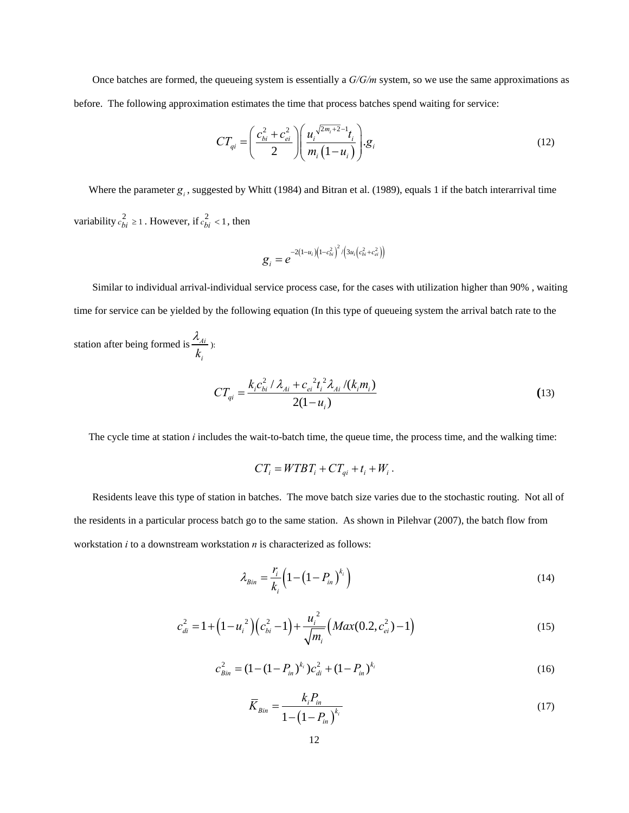Once batches are formed, the queueing system is essentially a *G/G/m* system, so we use the same approximations as before. The following approximation estimates the time that process batches spend waiting for service:

$$
CT_{qi} = \left(\frac{c_{bi}^2 + c_{ei}^2}{2}\right) \left(\frac{u_i^{\sqrt{2m_i+2}-1}t_i}{m_i(1-u_i)}\right).g_i
$$
\n(12)

Where the parameter  $g_i$ , suggested by Whitt (1984) and Bitran et al. (1989), equals 1 if the batch interarrival time variability  $c_{bi}^2 \ge 1$ . However, if  $c_{bi}^2 < 1$ , then

$$
g_i = e^{-2(1-u_i)(1-c_{bi}^2)^2/(3u_i(c_{bi}^2+c_{ei}^2))}
$$

Similar to individual arrival-individual service process case, for the cases with utilization higher than 90% , waiting time for service can be yielded by the following equation (In this type of queueing system the arrival batch rate to the

station after being formed is  $\frac{\lambda A_i}{\lambda A_i}$  $k_i$ λ ):

$$
CT_{qi} = \frac{k_i c_{bi}^2 / \lambda_{Ai} + c_{ei}^2 t_i^2 \lambda_{Ai} / (k_i m_i)}{2(1 - u_i)}
$$
(13)

The cycle time at station *i* includes the wait-to-batch time, the queue time, the process time, and the walking time:

$$
CT_i = WTBT_i + CT_{qi} + t_i + W_i.
$$

Residents leave this type of station in batches. The move batch size varies due to the stochastic routing. Not all of the residents in a particular process batch go to the same station. As shown in Pilehvar (2007), the batch flow from workstation *i* to a downstream workstation *n* is characterized as follows:

$$
\lambda_{Bin} = \frac{r_i}{k_i} \left( 1 - \left( 1 - P_{in} \right)^{k_i} \right) \tag{14}
$$

$$
c_{di}^{2} = 1 + \left(1 - u_{i}^{2}\right)\left(c_{bi}^{2} - 1\right) + \frac{u_{i}^{2}}{\sqrt{m_{i}}}\left(Max(0.2, c_{ei}^{2}) - 1\right)
$$
\n(15)

$$
c_{\text{Bin}}^2 = (1 - (1 - P_{\text{in}})^{k_i})c_{\text{di}}^2 + (1 - P_{\text{in}})^{k_i}
$$
 (16)

$$
\overline{K}_{Bin} = \frac{k_i P_{in}}{1 - \left(1 - P_{in}\right)^{k_i}}
$$
\n(17)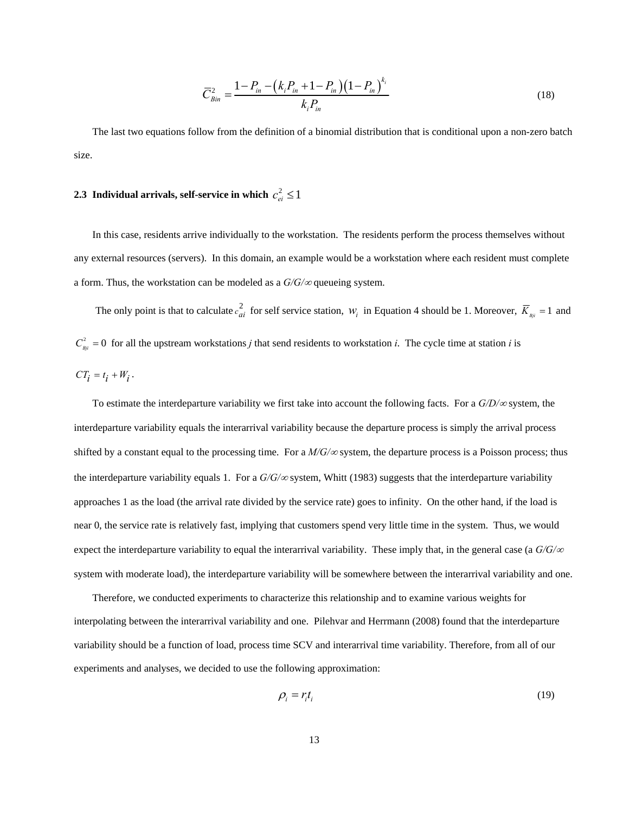$$
\overline{C}_{Bin}^2 = \frac{1 - P_{in} - \left(k_i P_{in} + 1 - P_{in}\right)\left(1 - P_{in}\right)^{k_i}}{k_i P_{in}}
$$
\n(18)

The last two equations follow from the definition of a binomial distribution that is conditional upon a non-zero batch size.

# **2.3 Individual arrivals, self-service in which**  $c_{ei}^2 \le 1$

In this case, residents arrive individually to the workstation. The residents perform the process themselves without any external resources (servers). In this domain, an example would be a workstation where each resident must complete a form. Thus, the workstation can be modeled as a *G/G/*∞ queueing system.

The only point is that to calculate  $c_{ai}^2$  for self service station,  $W_i$  in Equation 4 should be 1. Moreover,  $\overline{K}_{Bji} = 1$  and  $C_{Bji}^2 = 0$  for all the upstream workstations *j* that send residents to workstation *i*. The cycle time at station *i* is  $CT_i = t_i + W_i$ .

To estimate the interdeparture variability we first take into account the following facts. For a *G/D/*∞ system, the interdeparture variability equals the interarrival variability because the departure process is simply the arrival process shifted by a constant equal to the processing time. For a  $M/G/\infty$  system, the departure process is a Poisson process; thus the interdeparture variability equals 1. For a *G/G/*∞ system, Whitt (1983) suggests that the interdeparture variability approaches 1 as the load (the arrival rate divided by the service rate) goes to infinity. On the other hand, if the load is near 0, the service rate is relatively fast, implying that customers spend very little time in the system. Thus, we would expect the interdeparture variability to equal the interarrival variability. These imply that, in the general case (a *G/G/*<sup>∞</sup> system with moderate load), the interdeparture variability will be somewhere between the interarrival variability and one.

Therefore, we conducted experiments to characterize this relationship and to examine various weights for interpolating between the interarrival variability and one. Pilehvar and Herrmann (2008) found that the interdeparture variability should be a function of load, process time SCV and interarrival time variability. Therefore, from all of our experiments and analyses, we decided to use the following approximation:

$$
\rho_i = r_i t_i \tag{19}
$$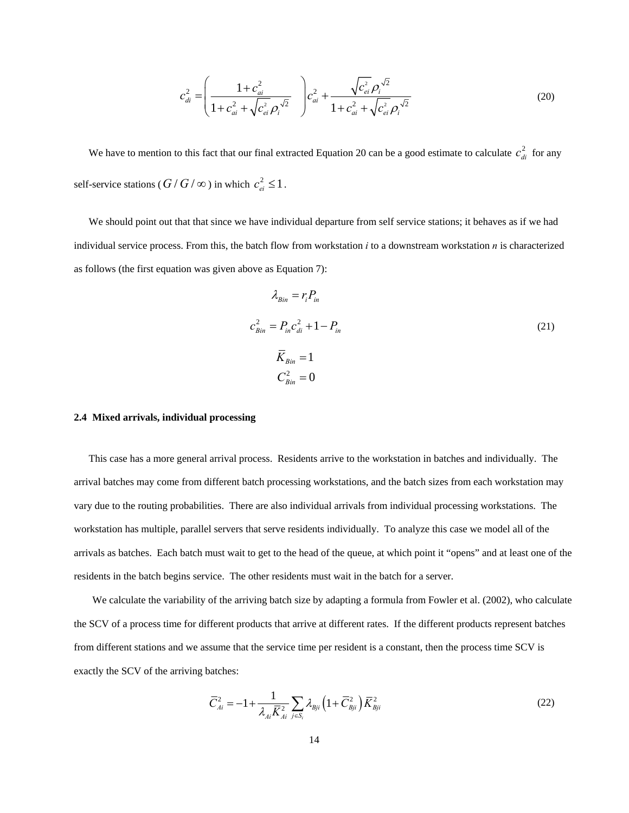$$
c_{di}^{2} = \left(\frac{1 + c_{ai}^{2}}{1 + c_{ai}^{2} + \sqrt{c_{ei}^{2}}\rho_{i}^{\sqrt{2}}}\right) c_{ai}^{2} + \frac{\sqrt{c_{ei}^{2}}\rho_{i}^{\sqrt{2}}}{1 + c_{ai}^{2} + \sqrt{c_{ei}^{2}}\rho_{i}^{\sqrt{2}}}
$$
(20)

We have to mention to this fact that our final extracted Equation 20 can be a good estimate to calculate  $c_{di}^2$  for any self-service stations ( $G/G/\infty$ ) in which  $c_{ei}^2 \leq 1$ .

We should point out that that since we have individual departure from self service stations; it behaves as if we had individual service process. From this, the batch flow from workstation *i* to a downstream workstation *n* is characterized as follows (the first equation was given above as Equation 7):

$$
\lambda_{Bin} = r_i P_{in}
$$
  
\n
$$
c_{Bin}^2 = P_{in} c_{di}^2 + 1 - P_{in}
$$
  
\n
$$
\overline{K}_{Bin} = 1
$$
  
\n
$$
C_{Bin}^2 = 0
$$
\n(21)

#### **2.4 Mixed arrivals, individual processing**

This case has a more general arrival process. Residents arrive to the workstation in batches and individually. The arrival batches may come from different batch processing workstations, and the batch sizes from each workstation may vary due to the routing probabilities. There are also individual arrivals from individual processing workstations. The workstation has multiple, parallel servers that serve residents individually. To analyze this case we model all of the arrivals as batches. Each batch must wait to get to the head of the queue, at which point it "opens" and at least one of the residents in the batch begins service. The other residents must wait in the batch for a server.

We calculate the variability of the arriving batch size by adapting a formula from Fowler et al. (2002), who calculate the SCV of a process time for different products that arrive at different rates. If the different products represent batches from different stations and we assume that the service time per resident is a constant, then the process time SCV is exactly the SCV of the arriving batches:

$$
\overline{C}_{Ai}^{2} = -1 + \frac{1}{\lambda_{Ai}\overline{K}_{Ai}^{2}} \sum_{j \in S_{i}} \lambda_{Bji} \left(1 + \overline{C}_{Bji}^{2}\right) \overline{K}_{Bji}^{2}
$$
\n(22)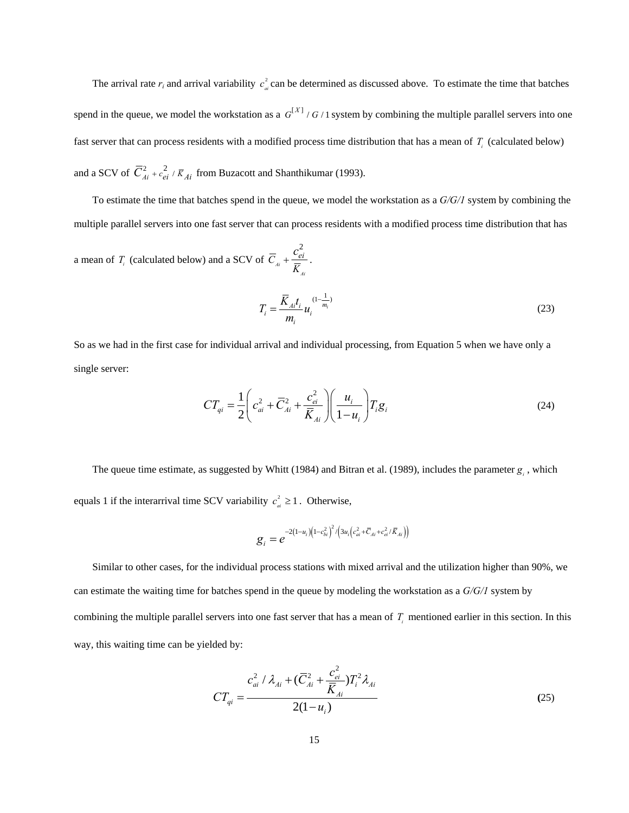The arrival rate  $r_i$  and arrival variability  $c_a^2$  can be determined as discussed above. To estimate the time that batches spend in the queue, we model the workstation as a  $G^{[X]}$  /  $G$  / 1 system by combining the multiple parallel servers into one fast server that can process residents with a modified process time distribution that has a mean of  $T_i$  (calculated below) and a SCV of  $\overline{C}_{Ai}^2 + c_{ei}^2 / \overline{K}_{Ai}$  from Buzacott and Shanthikumar (1993).

To estimate the time that batches spend in the queue, we model the workstation as a *G/G/1* system by combining the multiple parallel servers into one fast server that can process residents with a modified process time distribution that has

a mean of  $T_i$  (calculated below) and a SCV of 2 *Ai Ai*  $\overline{C}_{ii} + \frac{c_{ei}}{c}$ *K*  $+\frac{c_{ei}^2}{2}$ .

$$
T_i = \frac{\overline{K}_{Ai}t_i}{m_i} u_i^{(1-\frac{1}{m_i})}
$$
 (23)

So as we had in the first case for individual arrival and individual processing, from Equation 5 when we have only a single server:

$$
CT_{qi} = \frac{1}{2} \left( c_{ai}^2 + \overline{C}_{Ai}^2 + \frac{c_{ei}^2}{\overline{K}_{Ai}} \right) \left( \frac{u_i}{1 - u_i} \right) T_i \mathcal{g}_i
$$
 (24)

The queue time estimate, as suggested by Whitt (1984) and Bitran et al. (1989), includes the parameter  $g_i$ , which equals 1 if the interarrival time SCV variability  $c_{ai}^2 \geq 1$ . Otherwise,

$$
g_{i} = e^{-2(1-u_{i})\left(1-c_{bi}^{2}\right)^{2}/\left(3u_{i}\left(c_{ai}^{2} + \bar{C}_{Ai} + c_{ei}^{2}/\bar{K}_{Ai}\right)\right)}
$$

Similar to other cases, for the individual process stations with mixed arrival and the utilization higher than 90%, we can estimate the waiting time for batches spend in the queue by modeling the workstation as a *G/G/1* system by combining the multiple parallel servers into one fast server that has a mean of  $T_i$  mentioned earlier in this section. In this way, this waiting time can be yielded by:

$$
CT_{qi} = \frac{c_{ai}^2 / \lambda_{Ai} + (\overline{C}_{Ai}^2 + \frac{c_{ei}^2}{\overline{K}_{Ai}})T_i^2 \lambda_{Ai}}{2(1 - u_i)}
$$
(25)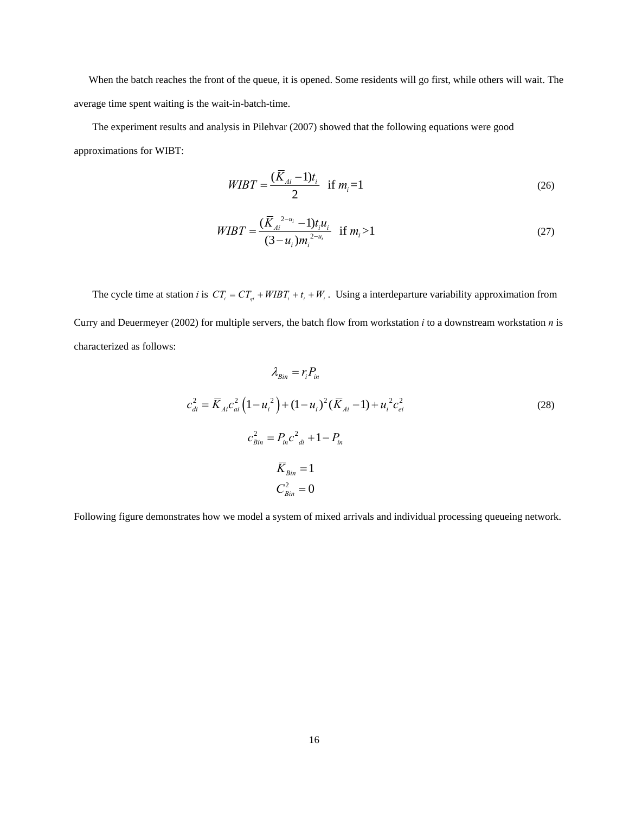When the batch reaches the front of the queue, it is opened. Some residents will go first, while others will wait. The average time spent waiting is the wait-in-batch-time.

The experiment results and analysis in Pilehvar (2007) showed that the following equations were good approximations for WIBT:

$$
WIBT = \frac{(\bar{K}_{Ai} - 1)t_i}{2} \quad \text{if } m_i = 1 \tag{26}
$$

$$
WIBT = \frac{(\overline{K}_{Ai}^{2-u_i} - 1)t_i u_i}{(3 - u_i)m_i^{2-u_i}} \quad \text{if } m_i > 1
$$
\n<sup>(27)</sup>

The cycle time at station *i* is  $CT_i = CT_{qi} + WIBT_i + t_i + W_i$ . Using a interdeparture variability approximation from Curry and Deuermeyer (2002) for multiple servers, the batch flow from workstation *i* to a downstream workstation *n* is characterized as follows:

$$
\lambda_{Bin} = r_i P_{in}
$$
  
\n
$$
c_{di}^2 = \overline{K}_{Ai} c_{ai}^2 (1 - u_i^2) + (1 - u_i)^2 (\overline{K}_{Ai} - 1) + u_i^2 c_{ei}^2
$$
  
\n
$$
c_{Bin}^2 = P_{in} c_{di}^2 + 1 - P_{in}
$$
  
\n
$$
\overline{K}_{Bin} = 1
$$
  
\n
$$
C_{Bin}^2 = 0
$$
 (28)

Following figure demonstrates how we model a system of mixed arrivals and individual processing queueing network.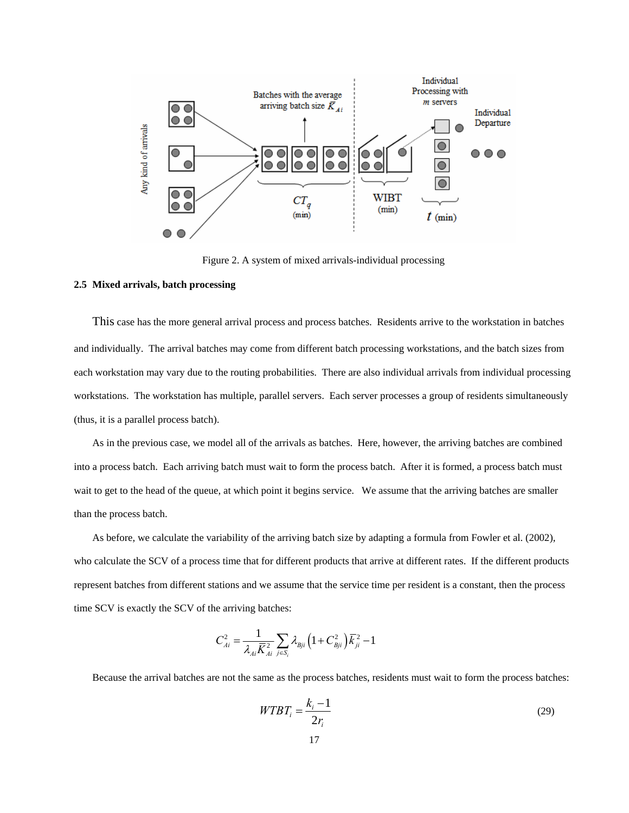

Figure 2. A system of mixed arrivals-individual processing

#### **2.5 Mixed arrivals, batch processing**

This case has the more general arrival process and process batches. Residents arrive to the workstation in batches and individually. The arrival batches may come from different batch processing workstations, and the batch sizes from each workstation may vary due to the routing probabilities. There are also individual arrivals from individual processing workstations. The workstation has multiple, parallel servers. Each server processes a group of residents simultaneously (thus, it is a parallel process batch).

As in the previous case, we model all of the arrivals as batches. Here, however, the arriving batches are combined into a process batch. Each arriving batch must wait to form the process batch. After it is formed, a process batch must wait to get to the head of the queue, at which point it begins service. We assume that the arriving batches are smaller than the process batch.

As before, we calculate the variability of the arriving batch size by adapting a formula from Fowler et al. (2002), who calculate the SCV of a process time that for different products that arrive at different rates. If the different products represent batches from different stations and we assume that the service time per resident is a constant, then the process time SCV is exactly the SCV of the arriving batches:

$$
C_{Ai}^{2} = \frac{1}{\lambda_{Ai}\overline{K}_{Ai}^{2}}\sum_{j\in S_{i}}\lambda_{Bji}\left(1+C_{Bji}^{2}\right)\overline{K}_{ji}^{2} - 1
$$

Because the arrival batches are not the same as the process batches, residents must wait to form the process batches:

$$
WTBT_i = \frac{k_i - 1}{2r_i} \tag{29}
$$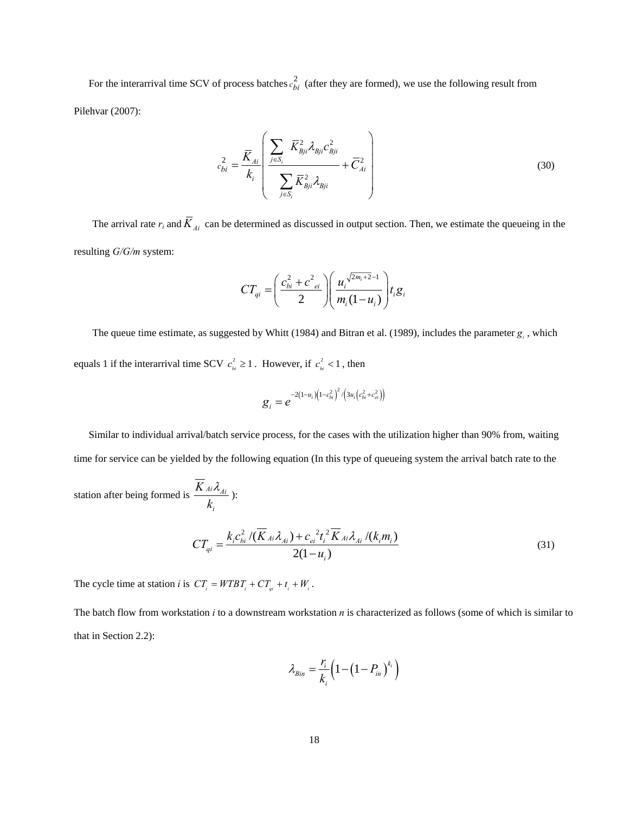For the interarrival time SCV of process batches  $c_{bi}^2$  (after they are formed), we use the following result from Pilehvar (2007):

$$
c_{bi}^{2} = \frac{\overline{K}_{Ai}}{k_{i}} \left( \frac{\sum_{j \in S_{i}} \overline{K}_{Bji}^{2} \lambda_{Bji} c_{Bji}^{2}}{\sum_{j \in S_{i}} \overline{K}_{Bji}^{2} \lambda_{Bji}} + \overline{C}_{Ai}^{2} \right)
$$
(30)

The arrival rate  $r_i$  and  $\overline{K}_{Ai}$  can be determined as discussed in output section. Then, we estimate the queueing in the resulting *G/G/m* system:

$$
CT_{qi} = \left(\frac{c_{bi}^2 + c_{ei}^2}{2}\right) \left(\frac{u_i^{\sqrt{2m_i + 2}-1}}{m_i(1 - u_i)}\right) t_i g_i
$$

The queue time estimate, as suggested by Whitt (1984) and Bitran et al. (1989), includes the parameter  $g_i$ , which equals 1 if the interarrival time SCV  $c_{i}^{2} \ge 1$ . However, if  $c_{i}^{2} < 1$ , then

$$
g_i = e^{-2(1-u_i)(1-c_{bi}^2)^2/(3u_i(c_{bi}^2+c_{ei}^2))}
$$

Similar to individual arrival/batch service process, for the cases with the utilization higher than 90% from, waiting time for service can be yielded by the following equation (In this type of queueing system the arrival batch rate to the

station after being formed is  $\frac{K A_i \lambda_{Ai}}{I}$ *i K k*  $\frac{\lambda_{Ai}}{2}$  ):

$$
CT_{qi} = \frac{k_i c_{bi}^2 / (\overline{K}_{Ai} \lambda_{Ai}) + c_{ei}^2 t_i^2 \overline{K}_{Ai} \lambda_{Ai} / (k_i m_i)}{2(1 - u_i)}
$$
(31)

The cycle time at station *i* is  $CT_i = WTBT_i + CT_{qi} + t_i + W_i$ .

The batch flow from workstation *i* to a downstream workstation *n* is characterized as follows (some of which is similar to that in Section 2.2):

$$
\lambda_{Bin} = \frac{r_i}{k_i} \left( 1 - \left( 1 - P_{in} \right)^{k_i} \right)
$$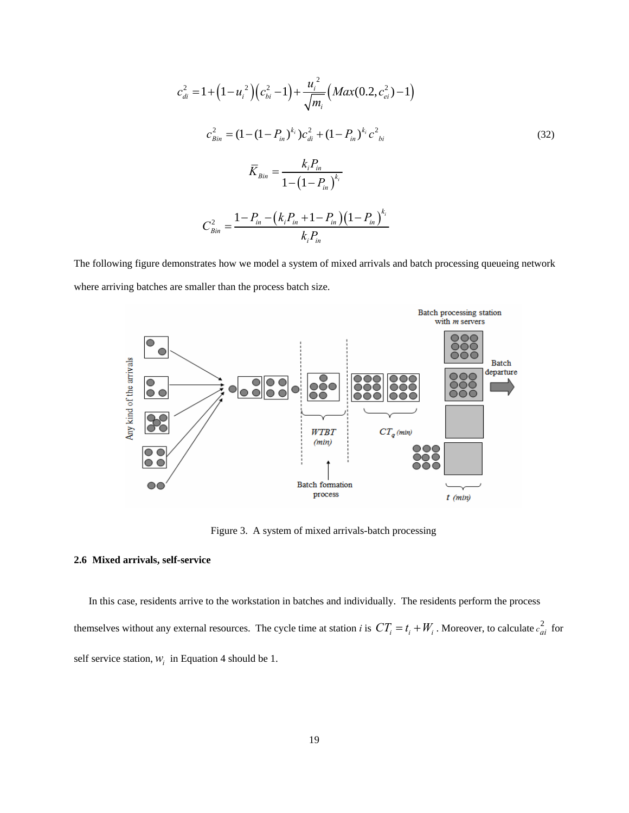$$
c_{di}^{2} = 1 + (1 - u_{i}^{2})(c_{bi}^{2} - 1) + \frac{u_{i}^{2}}{\sqrt{m_{i}}}(Max(0.2, c_{ei}^{2}) - 1)
$$
  
\n
$$
c_{Bin}^{2} = (1 - (1 - P_{in})^{k_{i}})c_{di}^{2} + (1 - P_{in})^{k_{i}}c_{bi}^{2}
$$
  
\n
$$
\overline{K}_{Bin} = \frac{k_{i}P_{in}}{1 - (1 - P_{in})^{k_{i}}}
$$
  
\n
$$
C_{Bin}^{2} = \frac{1 - P_{in} - (k_{i}P_{in} + 1 - P_{in})(1 - P_{in})^{k_{i}}}{k_{i}P_{in}}
$$
  
\n(32)

The following figure demonstrates how we model a system of mixed arrivals and batch processing queueing network where arriving batches are smaller than the process batch size.



Figure 3. A system of mixed arrivals-batch processing

#### **2.6 Mixed arrivals, self-service**

In this case, residents arrive to the workstation in batches and individually. The residents perform the process themselves without any external resources. The cycle time at station *i* is  $CT_i = t_i + W_i$ . Moreover, to calculate  $c_{ai}^2$  for self service station,  $W_i$  in Equation 4 should be 1.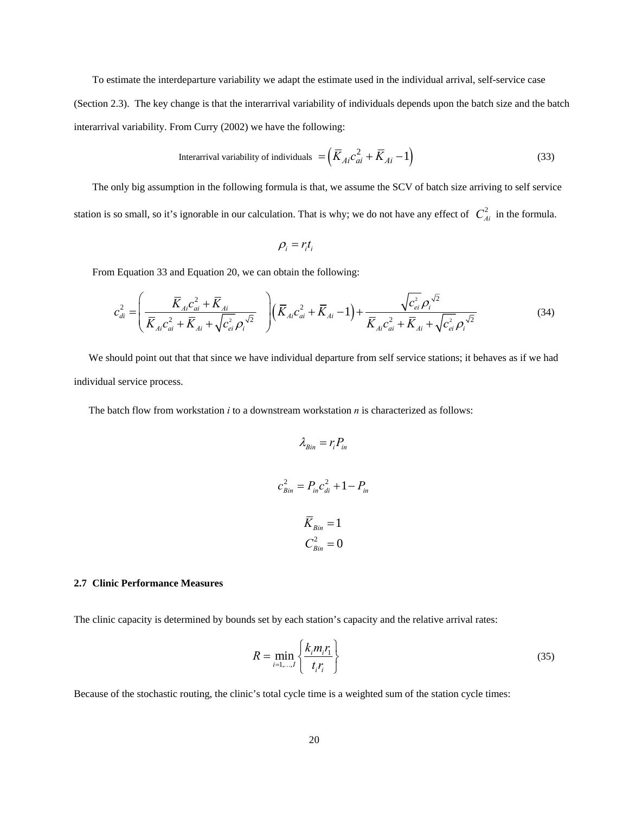To estimate the interdeparture variability we adapt the estimate used in the individual arrival, self-service case (Section 2.3). The key change is that the interarrival variability of individuals depends upon the batch size and the batch interarrival variability. From Curry (2002) we have the following:

$$
Interval variability of individuals = \left(\overline{K}_{Ai}c_{ai}^2 + \overline{K}_{Ai} - 1\right)
$$
 (33)

The only big assumption in the following formula is that, we assume the SCV of batch size arriving to self service station is so small, so it's ignorable in our calculation. That is why; we do not have any effect of  $C_{Ai}^2$  in the formula.

$$
\rho_i = r_i t_i
$$

From Equation 33 and Equation 20, we can obtain the following:

$$
c_{di}^{2} = \left(\frac{\bar{K}_{Ai}c_{ai}^{2} + \bar{K}_{Ai}}{\bar{K}_{Ai}c_{ai}^{2} + \bar{K}_{Ai} + \sqrt{c_{ei}^{2}}\rho_{i}^{\sqrt{2}}}\right)\left(\bar{K}_{Ai}c_{ai}^{2} + \bar{K}_{Ai} - 1\right) + \frac{\sqrt{c_{ei}^{2}}\rho_{i}^{\sqrt{2}}}{\bar{K}_{Ai}c_{ai}^{2} + \bar{K}_{Ai} + \sqrt{c_{ei}^{2}}\rho_{i}^{\sqrt{2}}}
$$
(34)

We should point out that that since we have individual departure from self service stations; it behaves as if we had individual service process.

The batch flow from workstation *i* to a downstream workstation *n* is characterized as follows:

$$
\lambda_{Bin} = r_i P_{in}
$$
  

$$
c_{Bin}^2 = P_{in} c_{di}^2 + 1 - P_{in}
$$
  

$$
\overline{K}_{Bin} = 1
$$
  

$$
C_{Bin}^2 = 0
$$

#### **2.7 Clinic Performance Measures**

The clinic capacity is determined by bounds set by each station's capacity and the relative arrival rates:

$$
R = \min_{i=1,\dots,I} \left\{ \frac{k_i m_i r_1}{t_i r_i} \right\} \tag{35}
$$

Because of the stochastic routing, the clinic's total cycle time is a weighted sum of the station cycle times: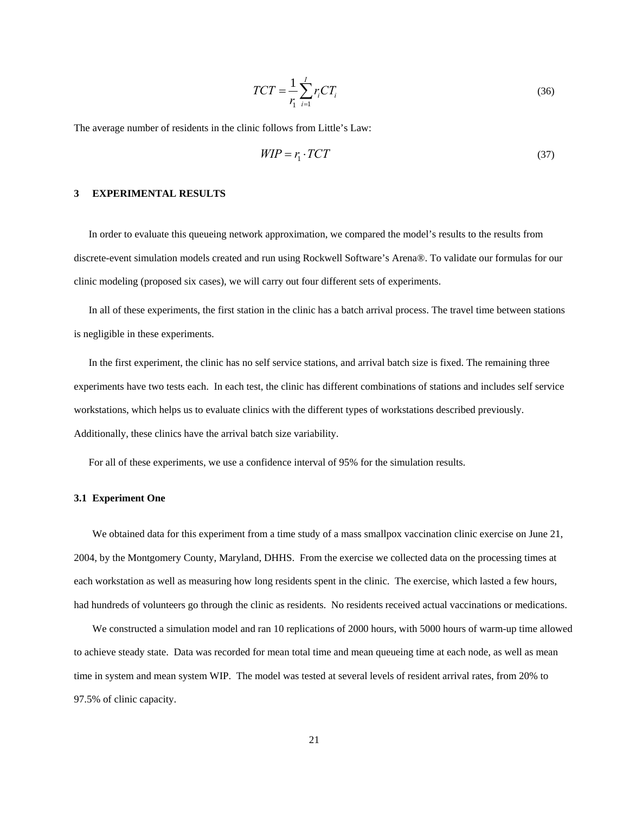$$
TCT = \frac{1}{r_i} \sum_{i=1}^{I} r_i CT_i \tag{36}
$$

The average number of residents in the clinic follows from Little's Law:

$$
WIP = r_1 \cdot TCT \tag{37}
$$

#### **3 EXPERIMENTAL RESULTS**

In order to evaluate this queueing network approximation, we compared the model's results to the results from discrete-event simulation models created and run using Rockwell Software's Arena®. To validate our formulas for our clinic modeling (proposed six cases), we will carry out four different sets of experiments.

In all of these experiments, the first station in the clinic has a batch arrival process. The travel time between stations is negligible in these experiments.

In the first experiment, the clinic has no self service stations, and arrival batch size is fixed. The remaining three experiments have two tests each. In each test, the clinic has different combinations of stations and includes self service workstations, which helps us to evaluate clinics with the different types of workstations described previously. Additionally, these clinics have the arrival batch size variability.

For all of these experiments, we use a confidence interval of 95% for the simulation results.

#### **3.1 Experiment One**

We obtained data for this experiment from a time study of a mass smallpox vaccination clinic exercise on June 21, 2004, by the Montgomery County, Maryland, DHHS. From the exercise we collected data on the processing times at each workstation as well as measuring how long residents spent in the clinic. The exercise, which lasted a few hours, had hundreds of volunteers go through the clinic as residents. No residents received actual vaccinations or medications.

We constructed a simulation model and ran 10 replications of 2000 hours, with 5000 hours of warm-up time allowed to achieve steady state. Data was recorded for mean total time and mean queueing time at each node, as well as mean time in system and mean system WIP. The model was tested at several levels of resident arrival rates, from 20% to 97.5% of clinic capacity.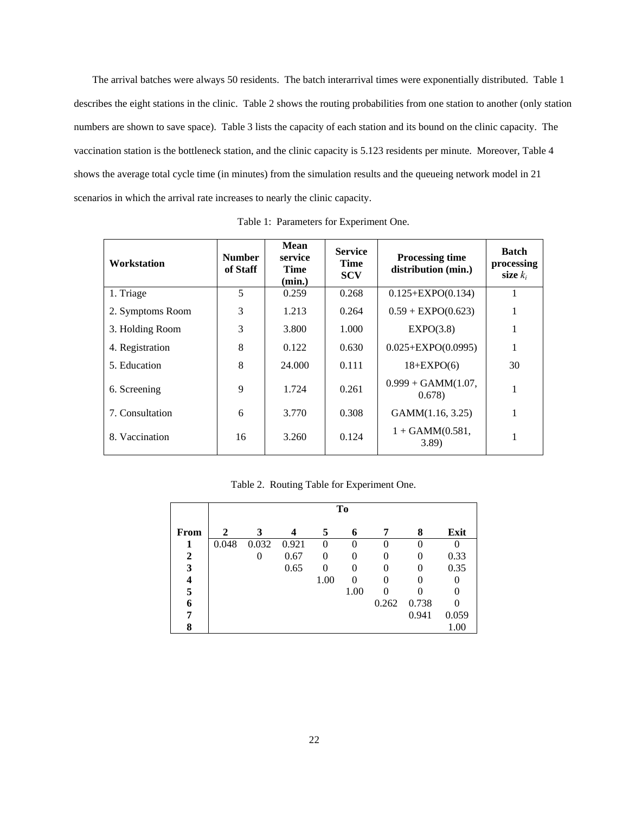The arrival batches were always 50 residents. The batch interarrival times were exponentially distributed. Table 1 describes the eight stations in the clinic. Table 2 shows the routing probabilities from one station to another (only station numbers are shown to save space). Table 3 lists the capacity of each station and its bound on the clinic capacity. The vaccination station is the bottleneck station, and the clinic capacity is 5.123 residents per minute. Moreover, Table 4 shows the average total cycle time (in minutes) from the simulation results and the queueing network model in 21 scenarios in which the arrival rate increases to nearly the clinic capacity.

| Workstation      | <b>Number</b><br>of Staff | Mean<br>service<br>Time<br>(min.) | <b>Service</b><br>Time<br><b>SCV</b> | <b>Processing time</b><br>distribution (min.) | <b>Batch</b><br>processing<br>size $k_i$ |
|------------------|---------------------------|-----------------------------------|--------------------------------------|-----------------------------------------------|------------------------------------------|
| 1. Triage        | 5                         | 0.259                             | 0.268                                | $0.125 + EXPO(0.134)$                         |                                          |
| 2. Symptoms Room | 3                         | 1.213                             | 0.264                                | $0.59 + EXPO(0.623)$                          | 1                                        |
| 3. Holding Room  | 3                         | 3.800                             | 1.000                                | EXPO(3.8)                                     |                                          |
| 4. Registration  | 8                         | 0.122                             | 0.630                                | $0.025 + EXPO(0.0995)$                        |                                          |
| 5. Education     | 8                         | 24,000                            | 0.111                                | $18 + EXPO(6)$                                | 30                                       |
| 6. Screening     | 9                         | 1.724                             | 0.261                                | $0.999 + GAMM(1.07,$<br>0.678                 | 1                                        |
| 7. Consultation  | 6                         | 3.770                             | 0.308                                | GAMM(1.16, 3.25)                              | 1                                        |
| 8. Vaccination   | 16                        | 3.260                             | 0.124                                | $1 + GAMM(0.581,$<br>3.89)                    |                                          |

Table 1: Parameters for Experiment One.

|  |  | Table 2. Routing Table for Experiment One. |  |
|--|--|--------------------------------------------|--|
|  |  |                                            |  |

|      | To    |       |       |          |      |       |                   |       |
|------|-------|-------|-------|----------|------|-------|-------------------|-------|
| From | 2     | 3     |       | 5        | 6    |       | 8                 | Exit  |
|      | 0.048 | 0.032 | 0.921 | 0        | 0    |       | 0                 |       |
| 2    |       |       | 0.67  | $\Omega$ | 0    |       | 0                 | 0.33  |
| 3    |       |       | 0.65  | $\Omega$ | 0    |       | $\mathbf{\Omega}$ | 0.35  |
|      |       |       |       | 1.00     | 0    |       |                   |       |
| 5    |       |       |       |          | 1.00 |       |                   |       |
| 6    |       |       |       |          |      | 0.262 | 0.738             |       |
|      |       |       |       |          |      |       | 0.941             | 0.059 |
| 8    |       |       |       |          |      |       |                   | 1.00  |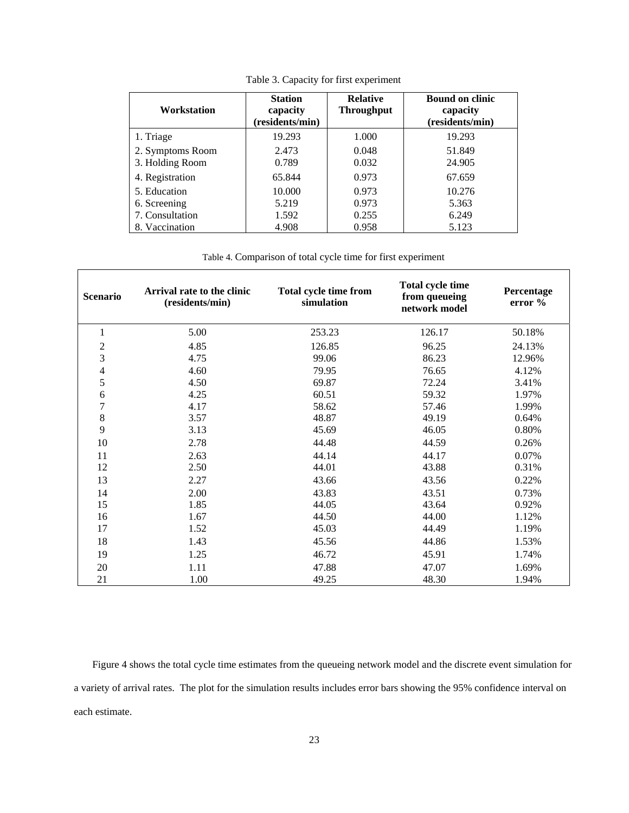| Workstation      | <b>Station</b><br>capacity<br>(residents/min) | <b>Relative</b><br><b>Throughput</b> | <b>Bound on clinic</b><br>capacity<br>(residents/min) |
|------------------|-----------------------------------------------|--------------------------------------|-------------------------------------------------------|
| 1. Triage        | 19.293                                        | 1.000                                | 19.293                                                |
| 2. Symptoms Room | 2.473                                         | 0.048                                | 51.849                                                |
| 3. Holding Room  | 0.789                                         | 0.032                                | 24.905                                                |
| 4. Registration  | 65.844                                        | 0.973                                | 67.659                                                |
| 5. Education     | 10.000                                        | 0.973                                | 10.276                                                |
| 6. Screening     | 5.219                                         | 0.973                                | 5.363                                                 |
| 7. Consultation  | 1.592                                         | 0.255                                | 6.249                                                 |
| 8. Vaccination   | 4.908                                         | 0.958                                | 5.123                                                 |

Table 3. Capacity for first experiment

# Table 4. Comparison of total cycle time for first experiment

| <b>Scenario</b>          | Arrival rate to the clinic<br>(residents/min) | Total cycle time from<br>simulation | Total cycle time<br>from queueing<br>network model | Percentage<br>error % |
|--------------------------|-----------------------------------------------|-------------------------------------|----------------------------------------------------|-----------------------|
| 1                        | 5.00                                          | 253.23                              | 126.17                                             | 50.18%                |
| $\overline{\mathbf{c}}$  | 4.85                                          | 126.85                              | 96.25                                              | 24.13%                |
| 3                        | 4.75                                          | 99.06                               | 86.23                                              | 12.96%                |
| $\overline{\mathcal{L}}$ | 4.60                                          | 79.95                               | 76.65                                              | 4.12%                 |
| 5                        | 4.50                                          | 69.87                               | 72.24                                              | 3.41%                 |
| 6                        | 4.25                                          | 60.51                               | 59.32                                              | 1.97%                 |
| 7                        | 4.17                                          | 58.62                               | 57.46                                              | 1.99%                 |
| 8                        | 3.57                                          | 48.87                               | 49.19                                              | 0.64%                 |
| 9                        | 3.13                                          | 45.69                               | 46.05                                              | 0.80%                 |
| $10\,$                   | 2.78                                          | 44.48                               | 44.59                                              | 0.26%                 |
| 11                       | 2.63                                          | 44.14                               | 44.17                                              | 0.07%                 |
| 12                       | 2.50                                          | 44.01                               | 43.88                                              | 0.31%                 |
| 13                       | 2.27                                          | 43.66                               | 43.56                                              | 0.22%                 |
| 14                       | 2.00                                          | 43.83                               | 43.51                                              | 0.73%                 |
| 15                       | 1.85                                          | 44.05                               | 43.64                                              | 0.92%                 |
| 16                       | 1.67                                          | 44.50                               | 44.00                                              | 1.12%                 |
| 17                       | 1.52                                          | 45.03                               | 44.49                                              | 1.19%                 |
| 18                       | 1.43                                          | 45.56                               | 44.86                                              | 1.53%                 |
| 19                       | 1.25                                          | 46.72                               | 45.91                                              | 1.74%                 |
| 20                       | 1.11                                          | 47.88                               | 47.07                                              | 1.69%                 |
| 21                       | 1.00                                          | 49.25                               | 48.30                                              | 1.94%                 |

Figure 4 shows the total cycle time estimates from the queueing network model and the discrete event simulation for a variety of arrival rates. The plot for the simulation results includes error bars showing the 95% confidence interval on each estimate.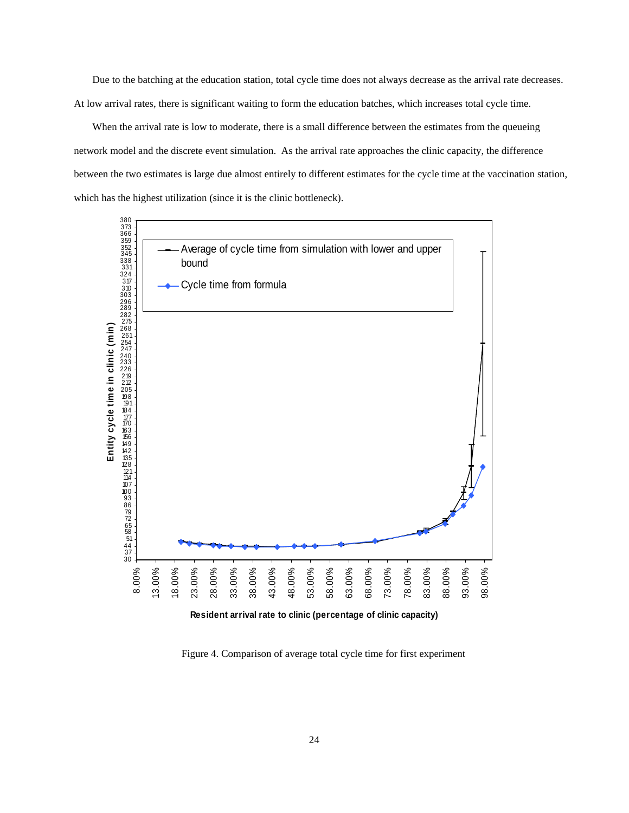Due to the batching at the education station, total cycle time does not always decrease as the arrival rate decreases. At low arrival rates, there is significant waiting to form the education batches, which increases total cycle time.

When the arrival rate is low to moderate, there is a small difference between the estimates from the queueing network model and the discrete event simulation. As the arrival rate approaches the clinic capacity, the difference between the two estimates is large due almost entirely to different estimates for the cycle time at the vaccination station, which has the highest utilization (since it is the clinic bottleneck).



Figure 4. Comparison of average total cycle time for first experiment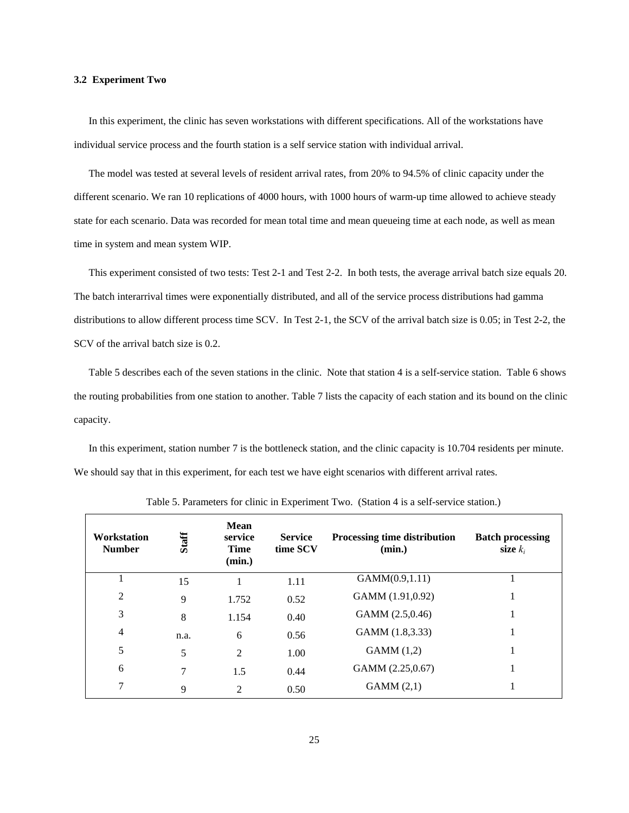#### **3.2 Experiment Two**

In this experiment, the clinic has seven workstations with different specifications. All of the workstations have individual service process and the fourth station is a self service station with individual arrival.

The model was tested at several levels of resident arrival rates, from 20% to 94.5% of clinic capacity under the different scenario. We ran 10 replications of 4000 hours, with 1000 hours of warm-up time allowed to achieve steady state for each scenario. Data was recorded for mean total time and mean queueing time at each node, as well as mean time in system and mean system WIP.

This experiment consisted of two tests: Test 2-1 and Test 2-2. In both tests, the average arrival batch size equals 20. The batch interarrival times were exponentially distributed, and all of the service process distributions had gamma distributions to allow different process time SCV. In Test 2-1, the SCV of the arrival batch size is 0.05; in Test 2-2, the SCV of the arrival batch size is 0.2.

Table 5 describes each of the seven stations in the clinic. Note that station 4 is a self-service station. Table 6 shows the routing probabilities from one station to another. Table 7 lists the capacity of each station and its bound on the clinic capacity.

In this experiment, station number 7 is the bottleneck station, and the clinic capacity is 10.704 residents per minute. We should say that in this experiment, for each test we have eight scenarios with different arrival rates.

| <b>Workstation</b><br><b>Number</b> | <b>Staff</b> | <b>Mean</b><br>service<br><b>Time</b><br>(min.) | <b>Service</b><br>time SCV | <b>Processing time distribution</b><br>(min.) | <b>Batch processing</b><br>size $k_i$ |
|-------------------------------------|--------------|-------------------------------------------------|----------------------------|-----------------------------------------------|---------------------------------------|
|                                     | 15           |                                                 | 1.11                       | GAMM(0.9,1.11)                                |                                       |
| 2                                   | 9            | 1.752                                           | 0.52                       | GAMM (1.91,0.92)                              |                                       |
| 3                                   | 8            | 1.154                                           | 0.40                       | GAMM (2.5,0.46)                               |                                       |
| $\overline{4}$                      | n.a.         | 6                                               | 0.56                       | GAMM (1.8,3.33)                               |                                       |
| 5                                   | 5            | $\overline{2}$                                  | 1.00                       | GAMM(1,2)                                     |                                       |
| 6                                   | 7            | 1.5                                             | 0.44                       | GAMM (2.25,0.67)                              |                                       |
| 7                                   | 9            | 2                                               | 0.50                       | GAMM(2,1)                                     |                                       |

Table 5. Parameters for clinic in Experiment Two. (Station 4 is a self-service station.)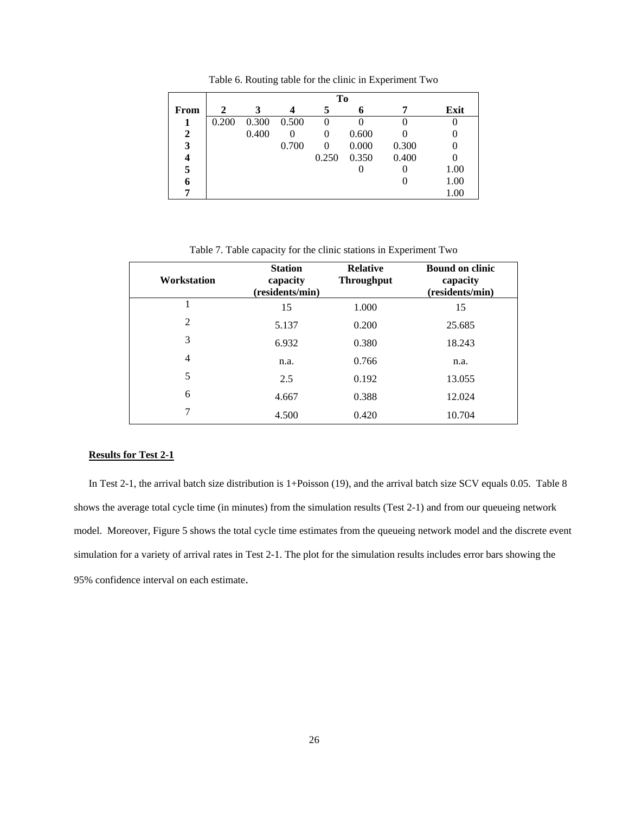|  | Table 6. Routing table for the clinic in Experiment Two |
|--|---------------------------------------------------------|
|--|---------------------------------------------------------|

|              |       |       |       | To       |       |       |      |
|--------------|-------|-------|-------|----------|-------|-------|------|
| From         | 2     | 3     |       | 5        | 6     |       | Exit |
|              | 0.200 | 0.300 | 0.500 | 0        |       |       |      |
| $\mathbf{2}$ |       | 0.400 | 0     | $\theta$ | 0.600 |       |      |
| 3            |       |       | 0.700 | $\theta$ | 0.000 | 0.300 |      |
| 4            |       |       |       | 0.250    | 0.350 | 0.400 |      |
| 5            |       |       |       |          |       |       | 1.00 |
| 6            |       |       |       |          |       |       | 1.00 |
| 7            |       |       |       |          |       |       | 1.00 |

Table 7. Table capacity for the clinic stations in Experiment Two

| <b>Workstation</b> | <b>Station</b><br>capacity<br>(residents/min) | <b>Relative</b><br><b>Throughput</b> | <b>Bound on clinic</b><br>capacity<br>(residents/min) |
|--------------------|-----------------------------------------------|--------------------------------------|-------------------------------------------------------|
| 1                  | 15                                            | 1.000                                | 15                                                    |
| $\overline{2}$     | 5.137                                         | 0.200                                | 25.685                                                |
| 3                  | 6.932                                         | 0.380                                | 18.243                                                |
| 4                  | n.a.                                          | 0.766                                | n.a.                                                  |
| 5                  | 2.5                                           | 0.192                                | 13.055                                                |
| 6                  | 4.667                                         | 0.388                                | 12.024                                                |
| 7                  | 4.500                                         | 0.420                                | 10.704                                                |

#### **Results for Test 2-1**

In Test 2-1, the arrival batch size distribution is 1+Poisson (19), and the arrival batch size SCV equals 0.05. Table 8 shows the average total cycle time (in minutes) from the simulation results (Test 2-1) and from our queueing network model. Moreover, Figure 5 shows the total cycle time estimates from the queueing network model and the discrete event simulation for a variety of arrival rates in Test 2-1. The plot for the simulation results includes error bars showing the 95% confidence interval on each estimate.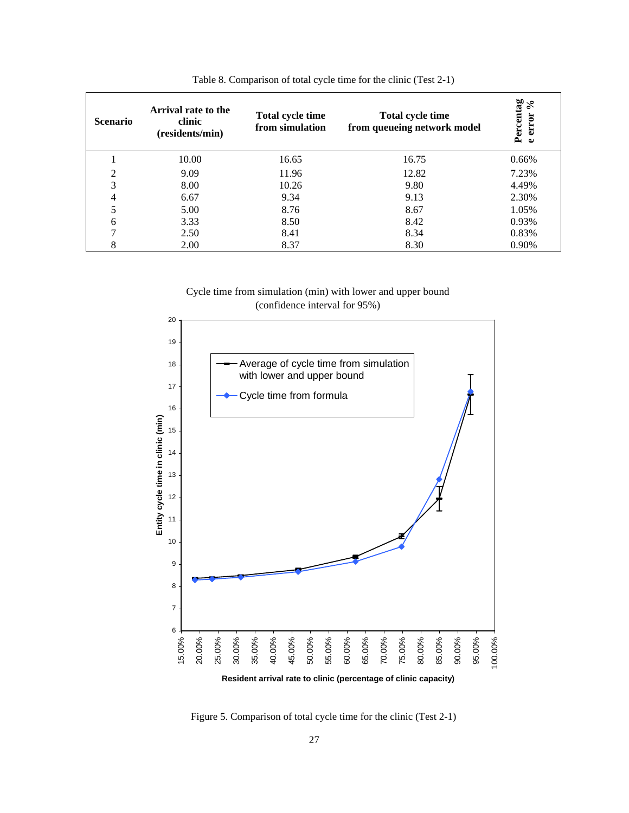| <b>Scenario</b> | Arrival rate to the<br>clinic<br>(residents/min) | <b>Total cycle time</b><br>from simulation | Total cycle time<br>from queueing network model | Percentag<br>• error % |
|-----------------|--------------------------------------------------|--------------------------------------------|-------------------------------------------------|------------------------|
|                 | 10.00                                            | 16.65                                      | 16.75                                           | 0.66%                  |
| $\overline{2}$  | 9.09                                             | 11.96                                      | 12.82                                           | 7.23%                  |
| 3               | 8.00                                             | 10.26                                      | 9.80                                            | 4.49%                  |
| 4               | 6.67                                             | 9.34                                       | 9.13                                            | 2.30%                  |
| 5               | 5.00                                             | 8.76                                       | 8.67                                            | 1.05%                  |
| 6               | 3.33                                             | 8.50                                       | 8.42                                            | 0.93%                  |
| 7               | 2.50                                             | 8.41                                       | 8.34                                            | 0.83%                  |
| 8               | 2.00                                             | 8.37                                       | 8.30                                            | 0.90%                  |

Table 8. Comparison of total cycle time for the clinic (Test 2-1)

Cycle time from simulation (min) with lower and upper bound (confidence interval for 95%)



Figure 5. Comparison of total cycle time for the clinic (Test 2-1)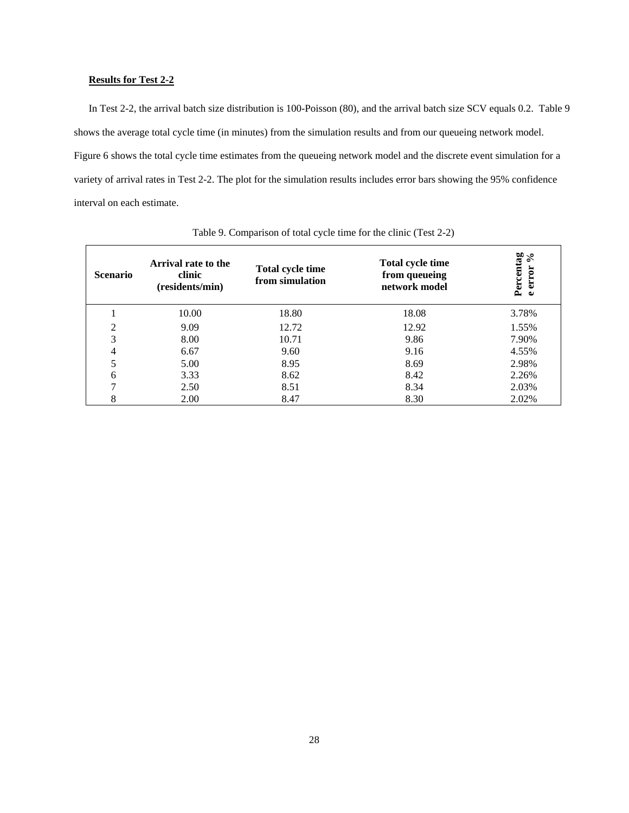# **Results for Test 2-2**

In Test 2-2, the arrival batch size distribution is 100-Poisson (80), and the arrival batch size SCV equals 0.2. Table 9 shows the average total cycle time (in minutes) from the simulation results and from our queueing network model. Figure 6 shows the total cycle time estimates from the queueing network model and the discrete event simulation for a variety of arrival rates in Test 2-2. The plot for the simulation results includes error bars showing the 95% confidence interval on each estimate.

| <b>Scenario</b> | Arrival rate to the<br>clinic<br>(residents/min) | <b>Total cycle time</b><br>from simulation | <b>Total cycle time</b><br>from queueing<br>network model | Percentag<br>╰<br>∘<br>error<br>$\bullet$ |
|-----------------|--------------------------------------------------|--------------------------------------------|-----------------------------------------------------------|-------------------------------------------|
|                 | 10.00                                            | 18.80                                      | 18.08                                                     | 3.78%                                     |
| $\overline{2}$  | 9.09                                             | 12.72                                      | 12.92                                                     | 1.55%                                     |
| 3               | 8.00                                             | 10.71                                      | 9.86                                                      | 7.90%                                     |
| 4               | 6.67                                             | 9.60                                       | 9.16                                                      | 4.55%                                     |
| 5               | 5.00                                             | 8.95                                       | 8.69                                                      | 2.98%                                     |
| 6               | 3.33                                             | 8.62                                       | 8.42                                                      | 2.26%                                     |
| 7               | 2.50                                             | 8.51                                       | 8.34                                                      | 2.03%                                     |
| 8               | 2.00                                             | 8.47                                       | 8.30                                                      | 2.02%                                     |

Table 9. Comparison of total cycle time for the clinic (Test 2-2)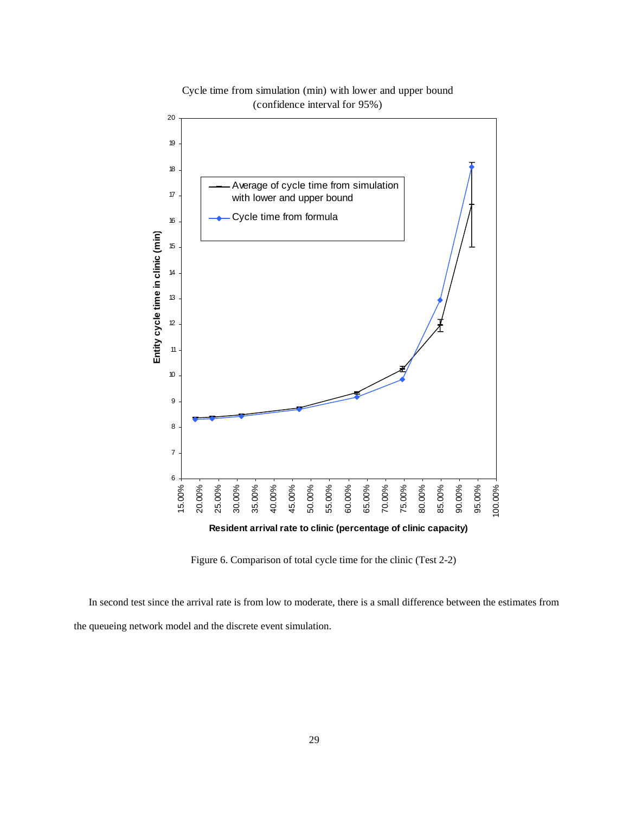

Cycle time from simulation (min) with lower and upper bound (confidence interval for 95%)

**Resident arrival rate to clinic (percentage of clinic capacity)**

Figure 6. Comparison of total cycle time for the clinic (Test 2-2)

In second test since the arrival rate is from low to moderate, there is a small difference between the estimates from the queueing network model and the discrete event simulation.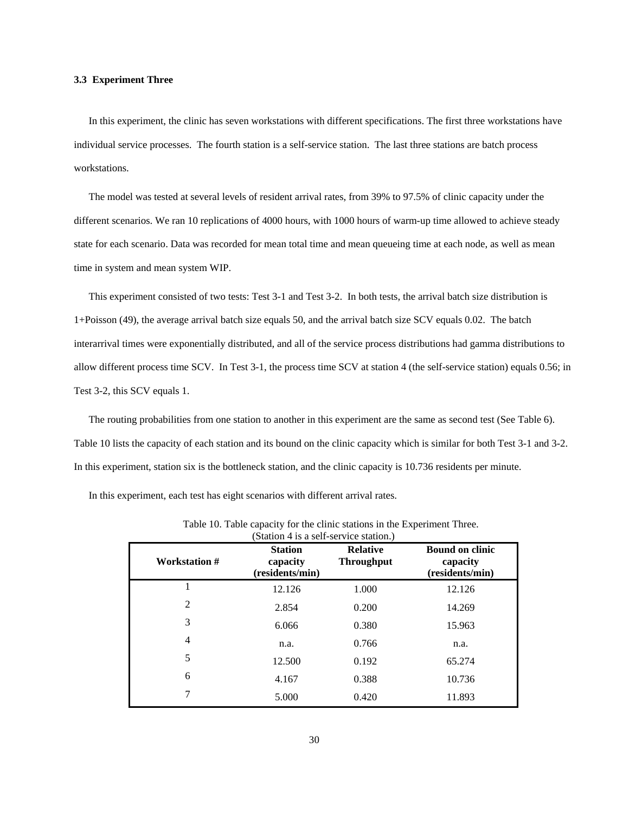#### **3.3 Experiment Three**

In this experiment, the clinic has seven workstations with different specifications. The first three workstations have individual service processes. The fourth station is a self-service station. The last three stations are batch process workstations.

The model was tested at several levels of resident arrival rates, from 39% to 97.5% of clinic capacity under the different scenarios. We ran 10 replications of 4000 hours, with 1000 hours of warm-up time allowed to achieve steady state for each scenario. Data was recorded for mean total time and mean queueing time at each node, as well as mean time in system and mean system WIP.

This experiment consisted of two tests: Test 3-1 and Test 3-2. In both tests, the arrival batch size distribution is 1+Poisson (49), the average arrival batch size equals 50, and the arrival batch size SCV equals 0.02. The batch interarrival times were exponentially distributed, and all of the service process distributions had gamma distributions to allow different process time SCV. In Test 3-1, the process time SCV at station 4 (the self-service station) equals 0.56; in Test 3-2, this SCV equals 1.

The routing probabilities from one station to another in this experiment are the same as second test (See Table 6). Table 10 lists the capacity of each station and its bound on the clinic capacity which is similar for both Test 3-1 and 3-2. In this experiment, station six is the bottleneck station, and the clinic capacity is 10.736 residents per minute.

In this experiment, each test has eight scenarios with different arrival rates.

| (Station 4 is a self-service station.) |                                               |                                      |                                                       |  |  |  |
|----------------------------------------|-----------------------------------------------|--------------------------------------|-------------------------------------------------------|--|--|--|
| Workstation #                          | <b>Station</b><br>capacity<br>(residents/min) | <b>Relative</b><br><b>Throughput</b> | <b>Bound on clinic</b><br>capacity<br>(residents/min) |  |  |  |
| 1                                      | 12.126                                        | 1.000                                | 12.126                                                |  |  |  |
| $\overline{2}$                         | 2.854                                         | 0.200                                | 14.269                                                |  |  |  |
| 3                                      | 6.066                                         | 0.380                                | 15.963                                                |  |  |  |
| 4                                      | n.a.                                          | 0.766                                | n.a.                                                  |  |  |  |
| 5                                      | 12.500                                        | 0.192                                | 65.274                                                |  |  |  |
| 6                                      | 4.167                                         | 0.388                                | 10.736                                                |  |  |  |
| 7                                      | 5.000                                         | 0.420                                | 11.893                                                |  |  |  |

Table 10. Table capacity for the clinic stations in the Experiment Three.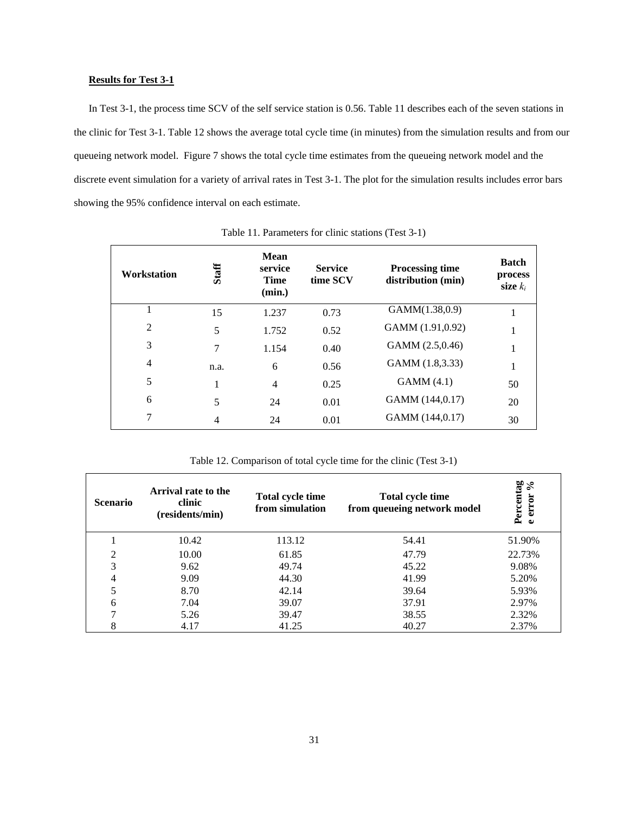#### **Results for Test 3-1**

In Test 3-1, the process time SCV of the self service station is 0.56. Table 11 describes each of the seven stations in the clinic for Test 3-1. Table 12 shows the average total cycle time (in minutes) from the simulation results and from our queueing network model. Figure 7 shows the total cycle time estimates from the queueing network model and the discrete event simulation for a variety of arrival rates in Test 3-1. The plot for the simulation results includes error bars showing the 95% confidence interval on each estimate.

| Workstation | Staff | <b>Mean</b><br>service<br><b>Time</b><br>(min.) | <b>Service</b><br>time SCV | <b>Processing time</b><br>distribution (min) | <b>Batch</b><br>process<br>size $k_i$ |
|-------------|-------|-------------------------------------------------|----------------------------|----------------------------------------------|---------------------------------------|
| 1           | 15    | 1.237                                           | 0.73                       | GAMM(1.38,0.9)                               |                                       |
| 2           | 5     | 1.752                                           | 0.52                       | GAMM (1.91,0.92)                             |                                       |
| 3           | 7     | 1.154                                           | 0.40                       | GAMM (2.5,0.46)                              |                                       |
| 4           | n.a.  | 6                                               | 0.56                       | GAMM (1.8,3.33)                              | 1<br>-1                               |
| 5           | 1     | $\overline{4}$                                  | 0.25                       | GAMM(4.1)                                    | 50                                    |
| 6           | 5     | 24                                              | 0.01                       | GAMM (144,0.17)                              | 20                                    |
| 7           | 4     | 24                                              | 0.01                       | GAMM (144,0.17)                              | 30                                    |

Table 11. Parameters for clinic stations (Test 3-1)

Table 12. Comparison of total cycle time for the clinic (Test 3-1)

| <b>Scenario</b> | Arrival rate to the<br>clinic<br>(residents/min) | <b>Total cycle time</b><br>from simulation | <b>Total cycle time</b><br>from queueing network model | Percentag<br>╰<br>∘<br>error<br>$\bullet$ |
|-----------------|--------------------------------------------------|--------------------------------------------|--------------------------------------------------------|-------------------------------------------|
|                 | 10.42                                            | 113.12                                     | 54.41                                                  | 51.90%                                    |
| 2               | 10.00                                            | 61.85                                      | 47.79                                                  | 22.73%                                    |
| 3               | 9.62                                             | 49.74                                      | 45.22                                                  | 9.08%                                     |
| 4               | 9.09                                             | 44.30                                      | 41.99                                                  | 5.20%                                     |
| 5               | 8.70                                             | 42.14                                      | 39.64                                                  | 5.93%                                     |
| 6               | 7.04                                             | 39.07                                      | 37.91                                                  | 2.97%                                     |
| 7               | 5.26                                             | 39.47                                      | 38.55                                                  | 2.32%                                     |
| 8               | 4.17                                             | 41.25                                      | 40.27                                                  | 2.37%                                     |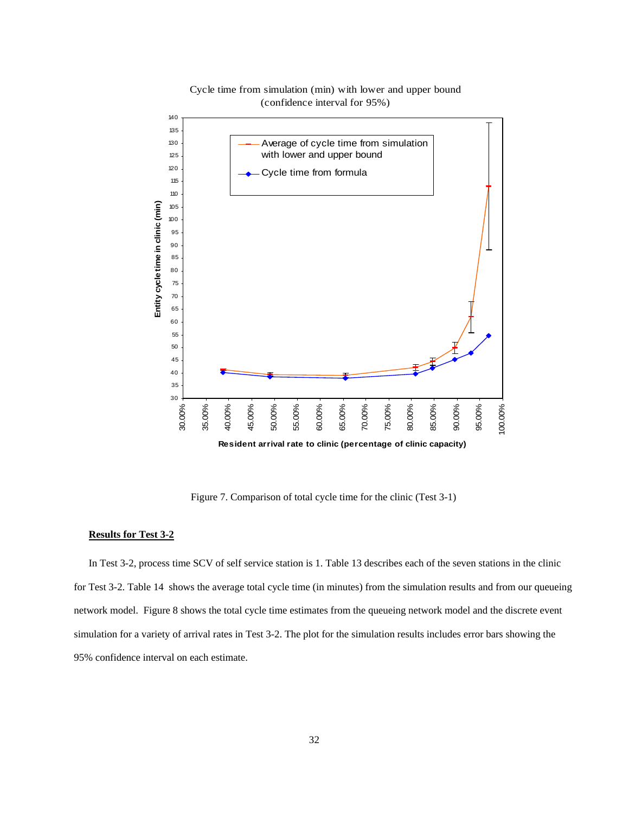

Cycle time from simulation (min) with lower and upper bound (confidence interval for 95%)

Figure 7. Comparison of total cycle time for the clinic (Test 3-1)

#### **Results for Test 3-2**

In Test 3-2, process time SCV of self service station is 1. Table 13 describes each of the seven stations in the clinic for Test 3-2. Table 14 shows the average total cycle time (in minutes) from the simulation results and from our queueing network model. Figure 8 shows the total cycle time estimates from the queueing network model and the discrete event simulation for a variety of arrival rates in Test 3-2. The plot for the simulation results includes error bars showing the 95% confidence interval on each estimate.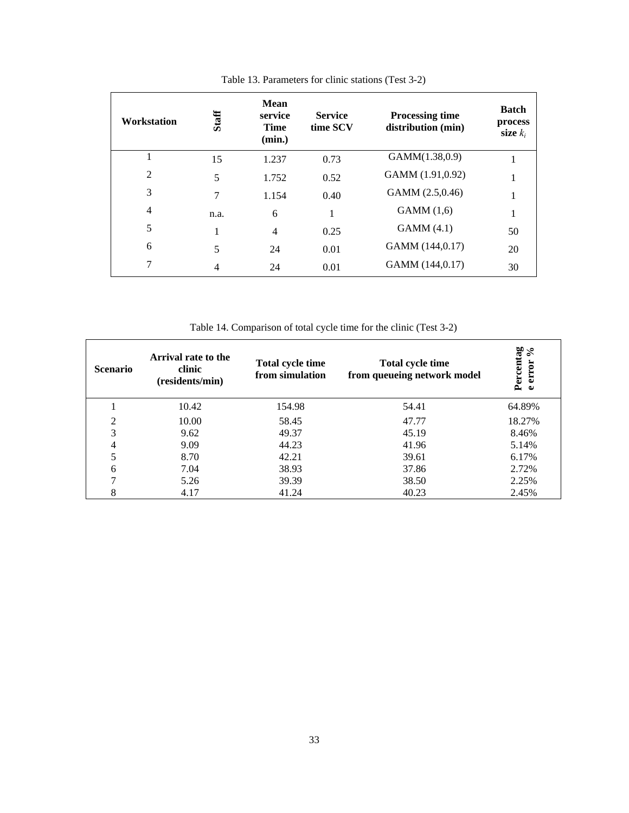| Workstation    | Staff | <b>Mean</b><br>service<br><b>Time</b><br>(min.) | <b>Service</b><br>time SCV | <b>Processing time</b><br>distribution (min) | <b>Batch</b><br>process<br>size $k_i$ |
|----------------|-------|-------------------------------------------------|----------------------------|----------------------------------------------|---------------------------------------|
| 1              | 15    | 1.237                                           | 0.73                       | GAMM(1.38,0.9)                               |                                       |
| $\overline{2}$ | 5     | 1.752                                           | 0.52                       | GAMM (1.91,0.92)                             |                                       |
| 3              | 7     | 1.154                                           | 0.40                       | GAMM (2.5,0.46)                              | 1                                     |
| 4              | n.a.  | 6                                               |                            | GAMM(1,6)                                    | 1                                     |
| 5              | 1     | 4                                               | 0.25                       | GAMM(4.1)                                    | 50                                    |
| 6              | 5     | 24                                              | 0.01                       | GAMM (144,0.17)                              | 20                                    |
| 7              | 4     | 24                                              | 0.01                       | GAMM (144,0.17)                              | 30                                    |

Table 13. Parameters for clinic stations (Test 3-2)

Table 14. Comparison of total cycle time for the clinic (Test 3-2)

| <b>Scenario</b> | Arrival rate to the<br>clinic<br>(residents/min) | Total cycle time<br>from simulation | <b>Total cycle time</b><br>from queueing network model | Percentag<br>╰०<br>$\sim$<br>error<br>$\bullet$ |
|-----------------|--------------------------------------------------|-------------------------------------|--------------------------------------------------------|-------------------------------------------------|
|                 | 10.42                                            | 154.98                              | 54.41                                                  | 64.89%                                          |
| ↑               | 10.00                                            | 58.45                               | 47.77                                                  | 18.27%                                          |
| 3               | 9.62                                             | 49.37                               | 45.19                                                  | 8.46%                                           |
| 4               | 9.09                                             | 44.23                               | 41.96                                                  | 5.14%                                           |
| 5               | 8.70                                             | 42.21                               | 39.61                                                  | 6.17%                                           |
| 6               | 7.04                                             | 38.93                               | 37.86                                                  | 2.72%                                           |
|                 | 5.26                                             | 39.39                               | 38.50                                                  | 2.25%                                           |
| 8               | 4.17                                             | 41.24                               | 40.23                                                  | 2.45%                                           |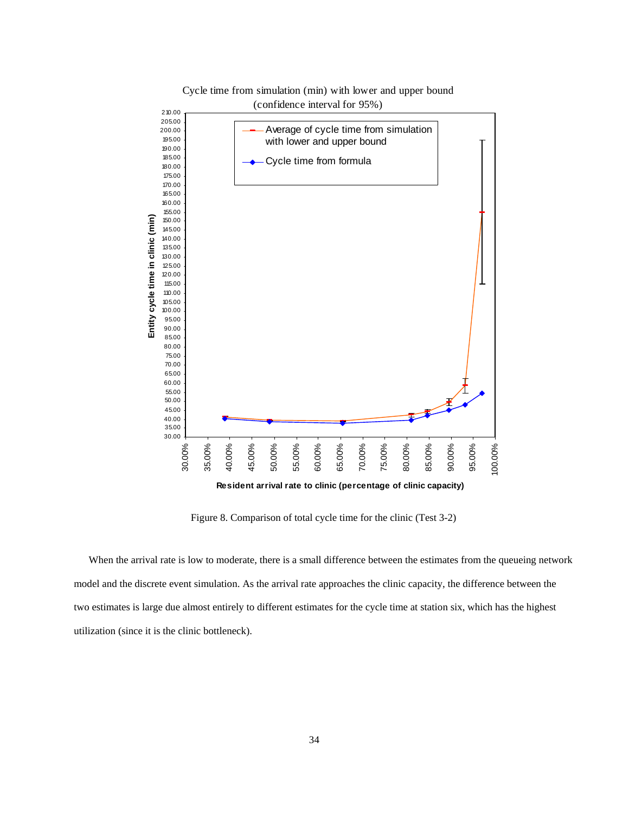

Cycle time from simulation (min) with lower and upper bound (confidence interval for 95%)

Figure 8. Comparison of total cycle time for the clinic (Test 3-2)

When the arrival rate is low to moderate, there is a small difference between the estimates from the queueing network model and the discrete event simulation. As the arrival rate approaches the clinic capacity, the difference between the two estimates is large due almost entirely to different estimates for the cycle time at station six, which has the highest utilization (since it is the clinic bottleneck).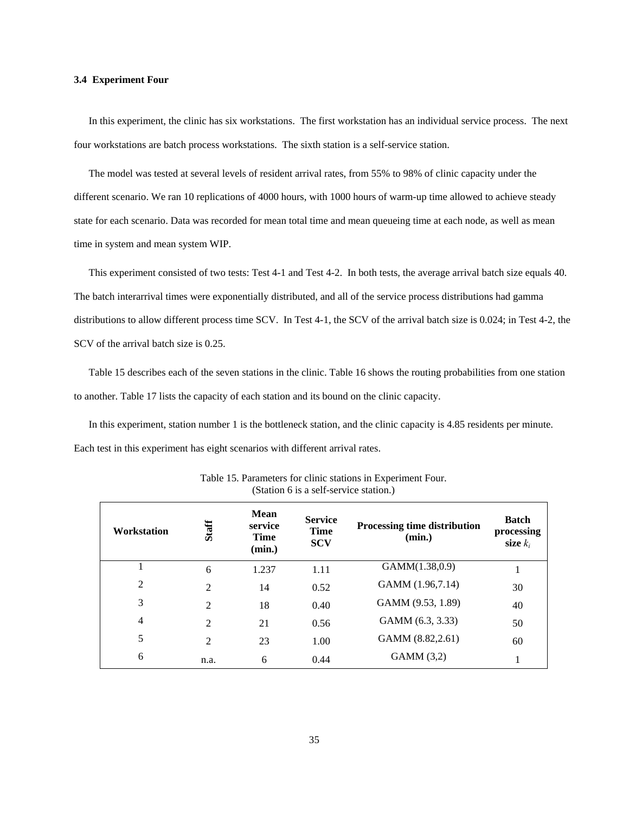#### **3.4 Experiment Four**

In this experiment, the clinic has six workstations. The first workstation has an individual service process. The next four workstations are batch process workstations. The sixth station is a self-service station.

The model was tested at several levels of resident arrival rates, from 55% to 98% of clinic capacity under the different scenario. We ran 10 replications of 4000 hours, with 1000 hours of warm-up time allowed to achieve steady state for each scenario. Data was recorded for mean total time and mean queueing time at each node, as well as mean time in system and mean system WIP.

This experiment consisted of two tests: Test 4-1 and Test 4-2. In both tests, the average arrival batch size equals 40. The batch interarrival times were exponentially distributed, and all of the service process distributions had gamma distributions to allow different process time SCV. In Test 4-1, the SCV of the arrival batch size is 0.024; in Test 4-2, the SCV of the arrival batch size is 0.25.

Table 15 describes each of the seven stations in the clinic. Table 16 shows the routing probabilities from one station to another. Table 17 lists the capacity of each station and its bound on the clinic capacity.

In this experiment, station number 1 is the bottleneck station, and the clinic capacity is 4.85 residents per minute. Each test in this experiment has eight scenarios with different arrival rates.

| Workstation    | Staff          | <b>Mean</b><br>service<br><b>Time</b><br>(min.) | <b>Service</b><br><b>Time</b><br><b>SCV</b> | <b>Processing time distribution</b><br>(min.) | <b>Batch</b><br>processing<br>size $k_i$ |
|----------------|----------------|-------------------------------------------------|---------------------------------------------|-----------------------------------------------|------------------------------------------|
|                | 6              | 1.237                                           | 1.11                                        | GAMM(1.38,0.9)                                |                                          |
| 2              | $\overline{2}$ | 14                                              | 0.52                                        | GAMM (1.96,7.14)                              | 30                                       |
| 3              | $\overline{2}$ | 18                                              | 0.40                                        | GAMM (9.53, 1.89)                             | 40                                       |
| $\overline{4}$ | $\overline{2}$ | 21                                              | 0.56                                        | GAMM (6.3, 3.33)                              | 50                                       |
| 5              | $\overline{2}$ | 23                                              | 1.00                                        | GAMM (8.82,2.61)                              | 60                                       |
| 6              | n.a.           | 6                                               | 0.44                                        | GAMM(3,2)                                     |                                          |

Table 15. Parameters for clinic stations in Experiment Four. (Station 6 is a self-service station.)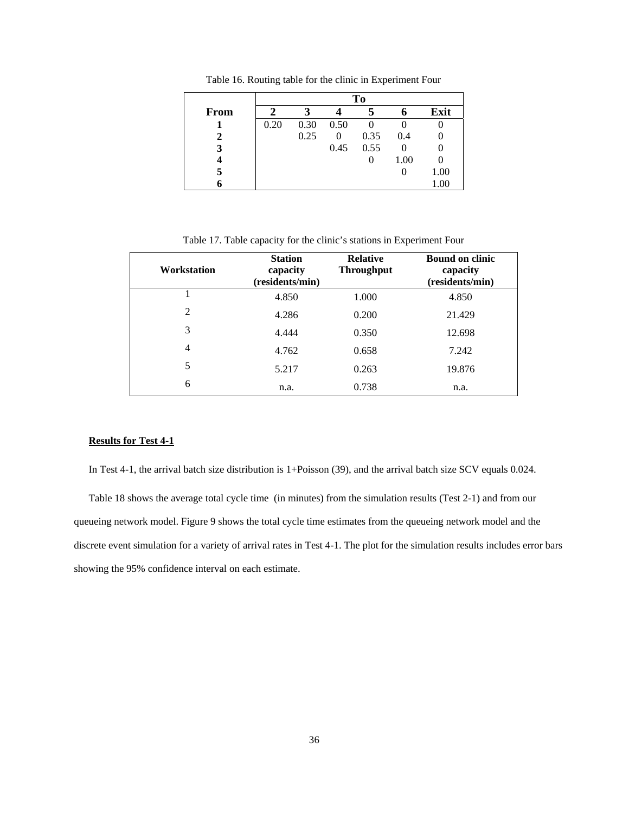|      | To   |      |      |        |      |          |
|------|------|------|------|--------|------|----------|
| From | 2    |      |      |        |      | Exit     |
|      | 0.20 | 0.30 | 0.50 | $_{0}$ |      |          |
|      |      | 0.25 | 0    | 0.35   | 0.4  |          |
|      |      |      | 0.45 | 0.55   | 0    |          |
|      |      |      |      |        | 1.00 |          |
| 5    |      |      |      |        | U    | 1.00     |
|      |      |      |      |        |      | $1.00\,$ |

Table 16. Routing table for the clinic in Experiment Four

Table 17. Table capacity for the clinic's stations in Experiment Four

| Workstation    | <b>Station</b><br>capacity<br>(residents/min) | <b>Relative</b><br><b>Throughput</b> | <b>Bound on clinic</b><br>capacity<br>(residents/min) |
|----------------|-----------------------------------------------|--------------------------------------|-------------------------------------------------------|
|                | 4.850                                         | 1.000                                | 4.850                                                 |
| 2              | 4.286                                         | 0.200                                | 21.429                                                |
| 3              | 4.444                                         | 0.350                                | 12.698                                                |
| $\overline{4}$ | 4.762                                         | 0.658                                | 7.242                                                 |
| 5              | 5.217                                         | 0.263                                | 19.876                                                |
| 6              | n.a.                                          | 0.738                                | n.a.                                                  |

# **Results for Test 4-1**

In Test 4-1, the arrival batch size distribution is 1+Poisson (39), and the arrival batch size SCV equals 0.024.

Table 18 shows the average total cycle time (in minutes) from the simulation results (Test 2-1) and from our queueing network model. Figure 9 shows the total cycle time estimates from the queueing network model and the discrete event simulation for a variety of arrival rates in Test 4-1. The plot for the simulation results includes error bars showing the 95% confidence interval on each estimate.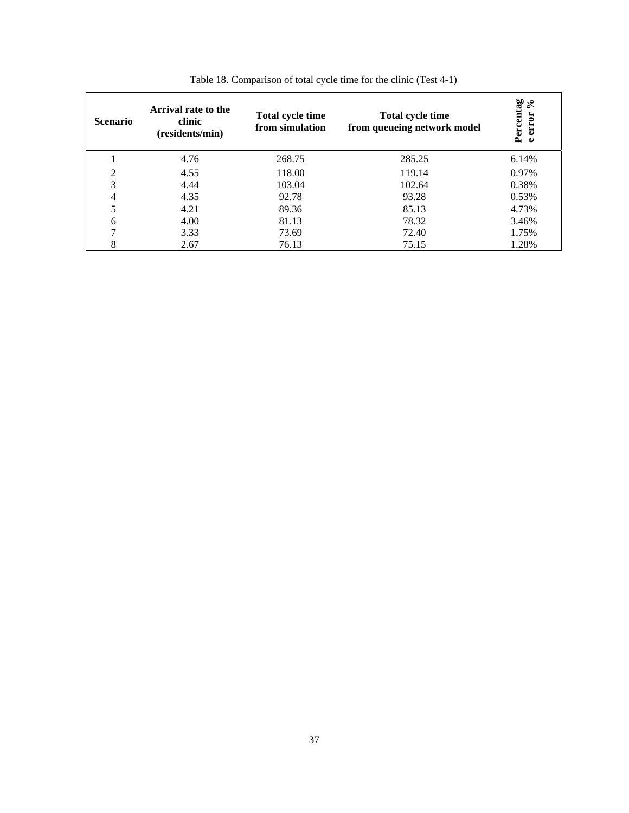| <b>Scenario</b> | Arrival rate to the<br>clinic<br>(residents/min) | <b>Total cycle time</b><br>from simulation | Total cycle time<br>from queueing network model | Percentag<br>$\mathcal{S}$<br>error<br>$\bullet$ |
|-----------------|--------------------------------------------------|--------------------------------------------|-------------------------------------------------|--------------------------------------------------|
|                 | 4.76                                             | 268.75                                     | 285.25                                          | 6.14%                                            |
| 2               | 4.55                                             | 118.00                                     | 119.14                                          | 0.97%                                            |
| 3               | 4.44                                             | 103.04                                     | 102.64                                          | 0.38%                                            |
| 4               | 4.35                                             | 92.78                                      | 93.28                                           | 0.53%                                            |
| 5               | 4.21                                             | 89.36                                      | 85.13                                           | 4.73%                                            |
| 6               | 4.00                                             | 81.13                                      | 78.32                                           | 3.46%                                            |
| 7               | 3.33                                             | 73.69                                      | 72.40                                           | 1.75%                                            |
| 8               | 2.67                                             | 76.13                                      | 75.15                                           | 1.28%                                            |

Table 18. Comparison of total cycle time for the clinic (Test 4-1)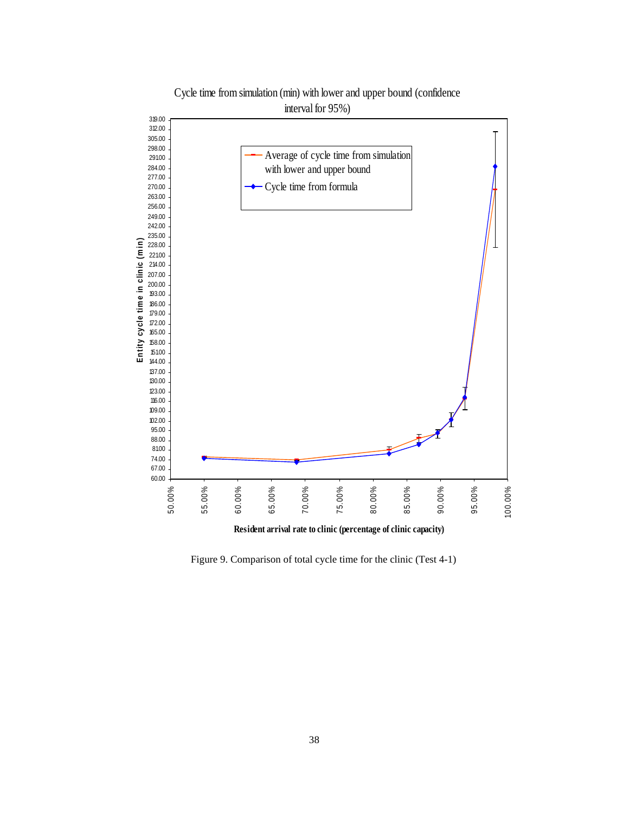

Cycle time from simulation (min) with lower and upper bound (confidence interval for 95%)

**Resident arrival rate to clinic (percentage of clinic capacity)**

Figure 9. Comparison of total cycle time for the clinic (Test 4-1)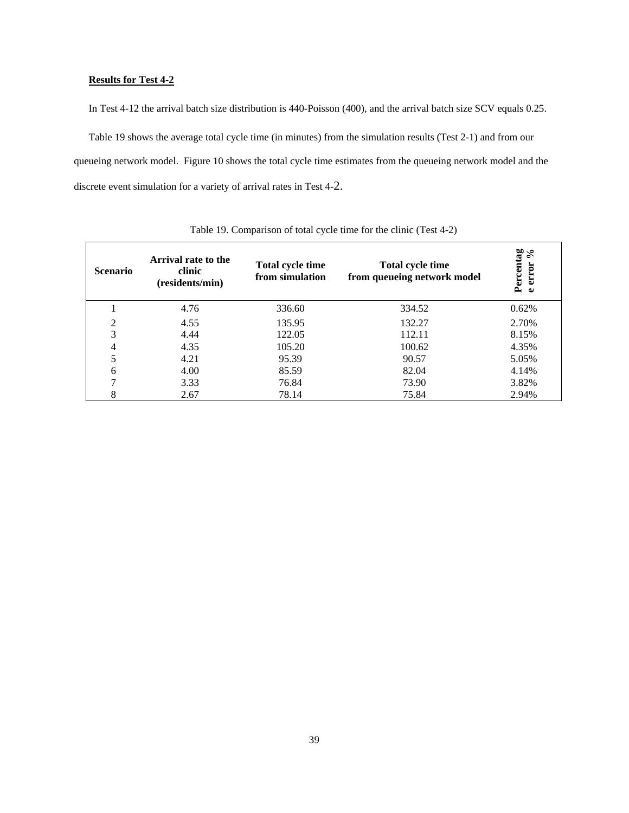# **Results for Test 4-2**

In Test 4-12 the arrival batch size distribution is 440-Poisson (400), and the arrival batch size SCV equals 0.25.

Table 19 shows the average total cycle time (in minutes) from the simulation results (Test 2-1) and from our queueing network model. Figure 10 shows the total cycle time estimates from the queueing network model and the discrete event simulation for a variety of arrival rates in Test 4-2.

| <b>Scenario</b> | Arrival rate to the<br>clinic<br>(residents/min) | <b>Total cycle time</b><br>from simulation | Total cycle time<br>from queueing network model | Percentag<br>" "rror % |
|-----------------|--------------------------------------------------|--------------------------------------------|-------------------------------------------------|------------------------|
|                 | 4.76                                             | 336.60                                     | 334.52                                          | 0.62%                  |
| 2               | 4.55                                             | 135.95                                     | 132.27                                          | 2.70%                  |
| 3               | 4.44                                             | 122.05                                     | 112.11                                          | 8.15%                  |
| 4               | 4.35                                             | 105.20                                     | 100.62                                          | 4.35%                  |
| 5               | 4.21                                             | 95.39                                      | 90.57                                           | 5.05%                  |
| 6               | 4.00                                             | 85.59                                      | 82.04                                           | 4.14%                  |
| 7               | 3.33                                             | 76.84                                      | 73.90                                           | 3.82%                  |
| 8               | 2.67                                             | 78.14                                      | 75.84                                           | 2.94%                  |

Table 19. Comparison of total cycle time for the clinic (Test 4-2)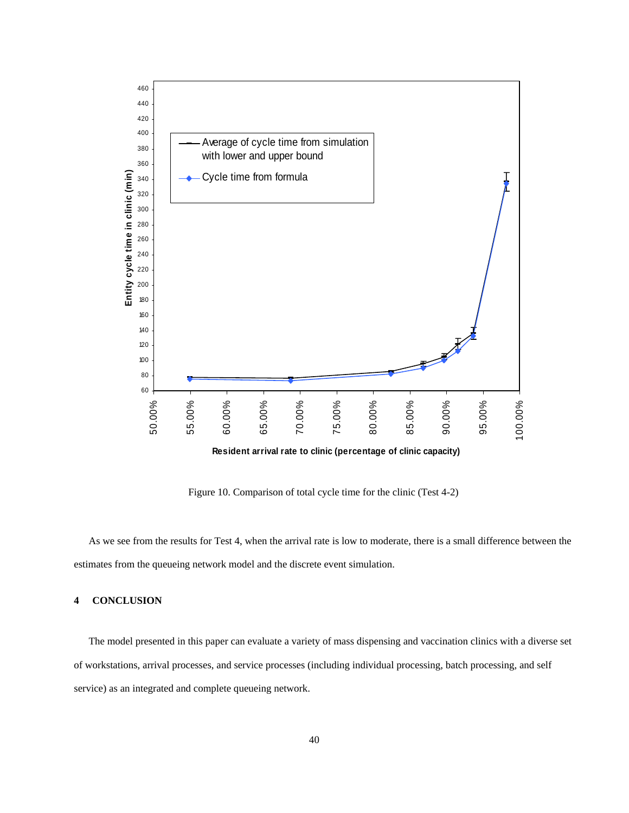

Figure 10. Comparison of total cycle time for the clinic (Test 4-2)

As we see from the results for Test 4, when the arrival rate is low to moderate, there is a small difference between the estimates from the queueing network model and the discrete event simulation.

## **4 CONCLUSION**

The model presented in this paper can evaluate a variety of mass dispensing and vaccination clinics with a diverse set of workstations, arrival processes, and service processes (including individual processing, batch processing, and self service) as an integrated and complete queueing network.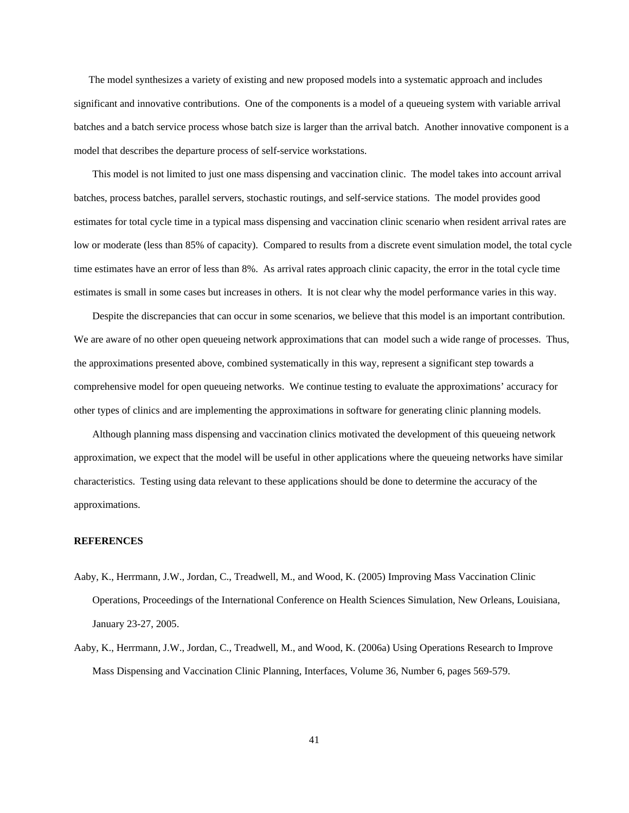The model synthesizes a variety of existing and new proposed models into a systematic approach and includes significant and innovative contributions. One of the components is a model of a queueing system with variable arrival batches and a batch service process whose batch size is larger than the arrival batch. Another innovative component is a model that describes the departure process of self-service workstations.

This model is not limited to just one mass dispensing and vaccination clinic. The model takes into account arrival batches, process batches, parallel servers, stochastic routings, and self-service stations. The model provides good estimates for total cycle time in a typical mass dispensing and vaccination clinic scenario when resident arrival rates are low or moderate (less than 85% of capacity). Compared to results from a discrete event simulation model, the total cycle time estimates have an error of less than 8%. As arrival rates approach clinic capacity, the error in the total cycle time estimates is small in some cases but increases in others. It is not clear why the model performance varies in this way.

Despite the discrepancies that can occur in some scenarios, we believe that this model is an important contribution. We are aware of no other open queueing network approximations that can model such a wide range of processes. Thus, the approximations presented above, combined systematically in this way, represent a significant step towards a comprehensive model for open queueing networks. We continue testing to evaluate the approximations' accuracy for other types of clinics and are implementing the approximations in software for generating clinic planning models.

Although planning mass dispensing and vaccination clinics motivated the development of this queueing network approximation, we expect that the model will be useful in other applications where the queueing networks have similar characteristics. Testing using data relevant to these applications should be done to determine the accuracy of the approximations.

#### **REFERENCES**

- Aaby, K., Herrmann, J.W., Jordan, C., Treadwell, M., and Wood, K. (2005) Improving Mass Vaccination Clinic Operations, Proceedings of the International Conference on Health Sciences Simulation, New Orleans, Louisiana, January 23-27, 2005.
- Aaby, K., Herrmann, J.W., Jordan, C., Treadwell, M., and Wood, K. (2006a) Using Operations Research to Improve Mass Dispensing and Vaccination Clinic Planning, Interfaces, Volume 36, Number 6, pages 569-579.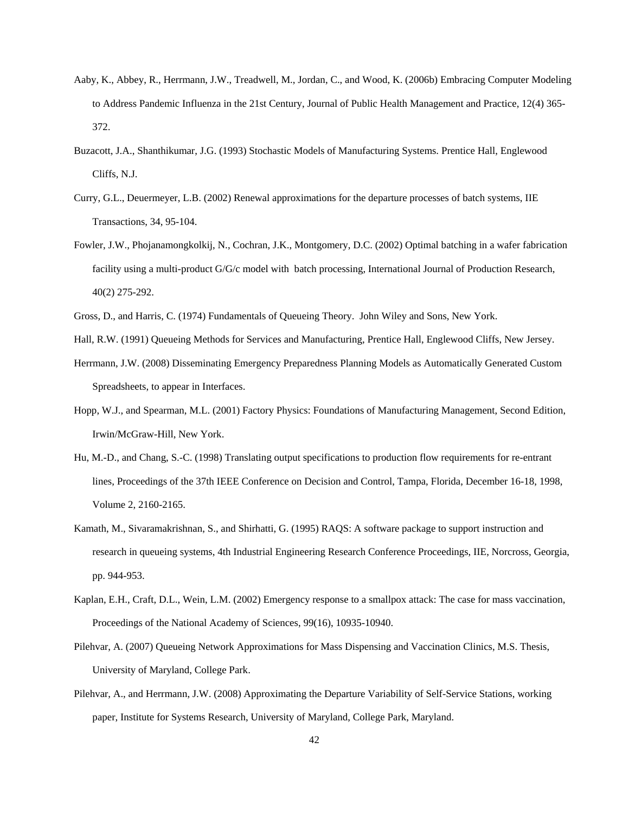- Aaby, K., Abbey, R., Herrmann, J.W., Treadwell, M., Jordan, C., and Wood, K. (2006b) Embracing Computer Modeling to Address Pandemic Influenza in the 21st Century, Journal of Public Health Management and Practice, 12(4) 365- 372.
- Buzacott, J.A., Shanthikumar, J.G. (1993) Stochastic Models of Manufacturing Systems. Prentice Hall, Englewood Cliffs, N.J.
- Curry, G.L., Deuermeyer, L.B. (2002) Renewal approximations for the departure processes of batch systems, IIE Transactions, 34, 95-104.
- Fowler, J.W., Phojanamongkolkij, N., Cochran, J.K., Montgomery, D.C. (2002) Optimal batching in a wafer fabrication facility using a multi-product G/G/c model with batch processing, International Journal of Production Research, 40(2) 275-292.
- Gross, D., and Harris, C. (1974) Fundamentals of Queueing Theory. John Wiley and Sons, New York.
- Hall, R.W. (1991) Queueing Methods for Services and Manufacturing, Prentice Hall, Englewood Cliffs, New Jersey.
- Herrmann, J.W. (2008) Disseminating Emergency Preparedness Planning Models as Automatically Generated Custom Spreadsheets, to appear in Interfaces.
- Hopp, W.J., and Spearman, M.L. (2001) Factory Physics: Foundations of Manufacturing Management, Second Edition, Irwin/McGraw-Hill, New York.
- Hu, M.-D., and Chang, S.-C. (1998) Translating output specifications to production flow requirements for re-entrant lines, Proceedings of the 37th IEEE Conference on Decision and Control, Tampa, Florida, December 16-18, 1998, Volume 2, 2160-2165.
- Kamath, M., Sivaramakrishnan, S., and Shirhatti, G. (1995) RAQS: A software package to support instruction and research in queueing systems, 4th Industrial Engineering Research Conference Proceedings, IIE, Norcross, Georgia, pp. 944-953.
- Kaplan, E.H., Craft, D.L., Wein, L.M. (2002) Emergency response to a smallpox attack: The case for mass vaccination, Proceedings of the National Academy of Sciences, 99(16), 10935-10940.
- Pilehvar, A. (2007) Queueing Network Approximations for Mass Dispensing and Vaccination Clinics, M.S. Thesis, University of Maryland, College Park.
- Pilehvar, A., and Herrmann, J.W. (2008) Approximating the Departure Variability of Self-Service Stations, working paper, Institute for Systems Research, University of Maryland, College Park, Maryland.